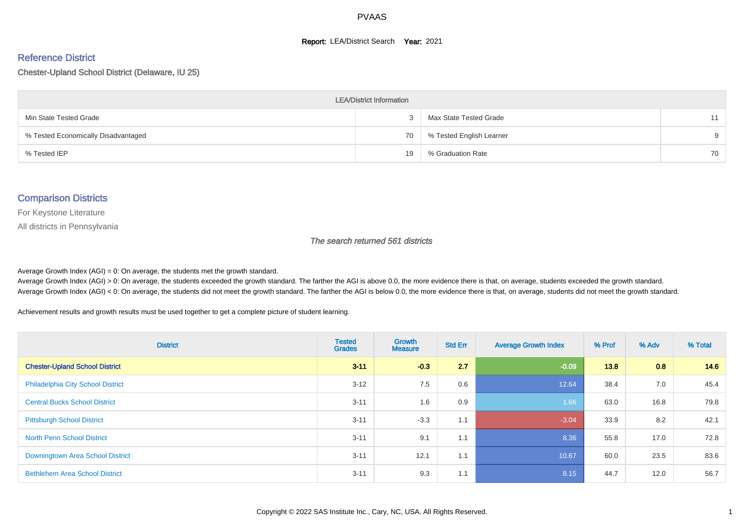#### **Report: LEA/District Search Year: 2021**

#### Reference District

Chester-Upland School District (Delaware, IU 25)

| <b>LEA/District Information</b>     |    |                          |          |  |  |  |  |  |  |  |
|-------------------------------------|----|--------------------------|----------|--|--|--|--|--|--|--|
| Min State Tested Grade              |    | Max State Tested Grade   | 11       |  |  |  |  |  |  |  |
| % Tested Economically Disadvantaged | 70 | % Tested English Learner | $\alpha$ |  |  |  |  |  |  |  |
| % Tested IEP                        | 19 | % Graduation Rate        | 70       |  |  |  |  |  |  |  |

#### Comparison Districts

For Keystone Literature

All districts in Pennsylvania

The search returned 561 districts

Average Growth Index  $(AGI) = 0$ : On average, the students met the growth standard.

Average Growth Index (AGI) > 0: On average, the students exceeded the growth standard. The farther the AGI is above 0.0, the more evidence there is that, on average, students exceeded the growth standard. Average Growth Index (AGI) < 0: On average, the students did not meet the growth standard. The farther the AGI is below 0.0, the more evidence there is that, on average, students did not meet the growth standard.

Achievement results and growth results must be used together to get a complete picture of student learning.

| <b>District</b>                          | <b>Tested</b><br><b>Grades</b> | <b>Growth</b><br><b>Measure</b> | <b>Std Err</b> | <b>Average Growth Index</b> | % Prof | % Adv | % Total |
|------------------------------------------|--------------------------------|---------------------------------|----------------|-----------------------------|--------|-------|---------|
| <b>Chester-Upland School District</b>    | $3 - 11$                       | $-0.3$                          | 2.7            | $-0.09$                     | 13.8   | 0.8   | 14.6    |
| <b>Philadelphia City School District</b> | $3 - 12$                       | 7.5                             | 0.6            | 12.64                       | 38.4   | 7.0   | 45.4    |
| <b>Central Bucks School District</b>     | $3 - 11$                       | 1.6                             | 0.9            | 1.66                        | 63.0   | 16.8  | 79.8    |
| <b>Pittsburgh School District</b>        | $3 - 11$                       | $-3.3$                          | 1.1            | $-3.04$                     | 33.9   | 8.2   | 42.1    |
| <b>North Penn School District</b>        | $3 - 11$                       | 9.1                             | 1.1            | 8.36                        | 55.8   | 17.0  | 72.8    |
| Downingtown Area School District         | $3 - 11$                       | 12.1                            | 1.1            | 10.67                       | 60.0   | 23.5  | 83.6    |
| <b>Bethlehem Area School District</b>    | $3 - 11$                       | 9.3                             | 1.1            | 8.15                        | 44.7   | 12.0  | 56.7    |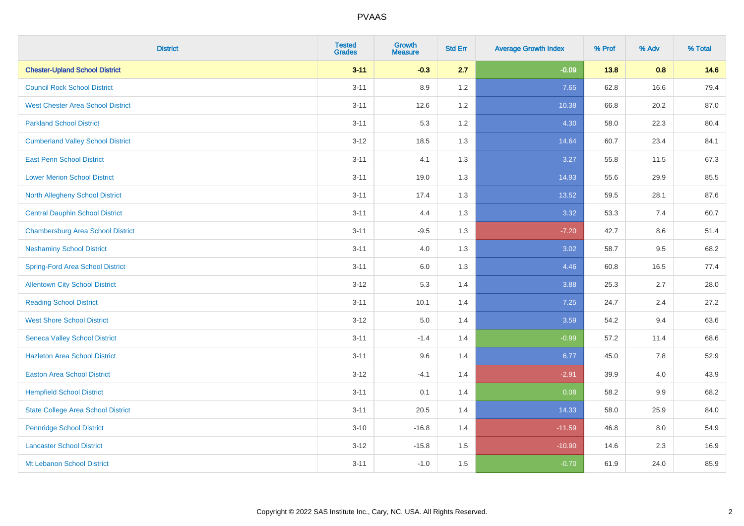| <b>District</b>                           | <b>Tested</b><br><b>Grades</b> | <b>Growth</b><br><b>Measure</b> | <b>Std Err</b> | <b>Average Growth Index</b> | % Prof | % Adv | % Total |
|-------------------------------------------|--------------------------------|---------------------------------|----------------|-----------------------------|--------|-------|---------|
| <b>Chester-Upland School District</b>     | $3 - 11$                       | $-0.3$                          | 2.7            | $-0.09$                     | 13.8   | 0.8   | 14.6    |
| <b>Council Rock School District</b>       | $3 - 11$                       | 8.9                             | 1.2            | 7.65                        | 62.8   | 16.6  | 79.4    |
| <b>West Chester Area School District</b>  | $3 - 11$                       | 12.6                            | 1.2            | 10.38                       | 66.8   | 20.2  | 87.0    |
| <b>Parkland School District</b>           | $3 - 11$                       | 5.3                             | 1.2            | 4.30                        | 58.0   | 22.3  | 80.4    |
| <b>Cumberland Valley School District</b>  | $3 - 12$                       | 18.5                            | 1.3            | 14.64                       | 60.7   | 23.4  | 84.1    |
| <b>East Penn School District</b>          | $3 - 11$                       | 4.1                             | 1.3            | 3.27                        | 55.8   | 11.5  | 67.3    |
| <b>Lower Merion School District</b>       | $3 - 11$                       | 19.0                            | 1.3            | 14.93                       | 55.6   | 29.9  | 85.5    |
| <b>North Allegheny School District</b>    | $3 - 11$                       | 17.4                            | 1.3            | 13.52                       | 59.5   | 28.1  | 87.6    |
| <b>Central Dauphin School District</b>    | $3 - 11$                       | 4.4                             | 1.3            | 3.32                        | 53.3   | 7.4   | 60.7    |
| <b>Chambersburg Area School District</b>  | $3 - 11$                       | $-9.5$                          | 1.3            | $-7.20$                     | 42.7   | 8.6   | 51.4    |
| <b>Neshaminy School District</b>          | $3 - 11$                       | 4.0                             | 1.3            | 3.02                        | 58.7   | 9.5   | 68.2    |
| <b>Spring-Ford Area School District</b>   | $3 - 11$                       | $6.0\,$                         | 1.3            | 4.46                        | 60.8   | 16.5  | 77.4    |
| <b>Allentown City School District</b>     | $3 - 12$                       | 5.3                             | 1.4            | 3.88                        | 25.3   | 2.7   | 28.0    |
| <b>Reading School District</b>            | $3 - 11$                       | 10.1                            | 1.4            | 7.25                        | 24.7   | 2.4   | 27.2    |
| <b>West Shore School District</b>         | $3 - 12$                       | $5.0\,$                         | 1.4            | 3.59                        | 54.2   | 9.4   | 63.6    |
| <b>Seneca Valley School District</b>      | $3 - 11$                       | $-1.4$                          | 1.4            | $-0.99$                     | 57.2   | 11.4  | 68.6    |
| <b>Hazleton Area School District</b>      | $3 - 11$                       | 9.6                             | 1.4            | 6.77                        | 45.0   | 7.8   | 52.9    |
| <b>Easton Area School District</b>        | $3 - 12$                       | $-4.1$                          | 1.4            | $-2.91$                     | 39.9   | 4.0   | 43.9    |
| <b>Hempfield School District</b>          | $3 - 11$                       | 0.1                             | 1.4            | 0.08                        | 58.2   | 9.9   | 68.2    |
| <b>State College Area School District</b> | $3 - 11$                       | 20.5                            | 1.4            | 14.33                       | 58.0   | 25.9  | 84.0    |
| <b>Pennridge School District</b>          | $3 - 10$                       | $-16.8$                         | 1.4            | $-11.59$                    | 46.8   | 8.0   | 54.9    |
| <b>Lancaster School District</b>          | $3 - 12$                       | $-15.8$                         | 1.5            | $-10.90$                    | 14.6   | 2.3   | 16.9    |
| Mt Lebanon School District                | $3 - 11$                       | $-1.0$                          | 1.5            | $-0.70$                     | 61.9   | 24.0  | 85.9    |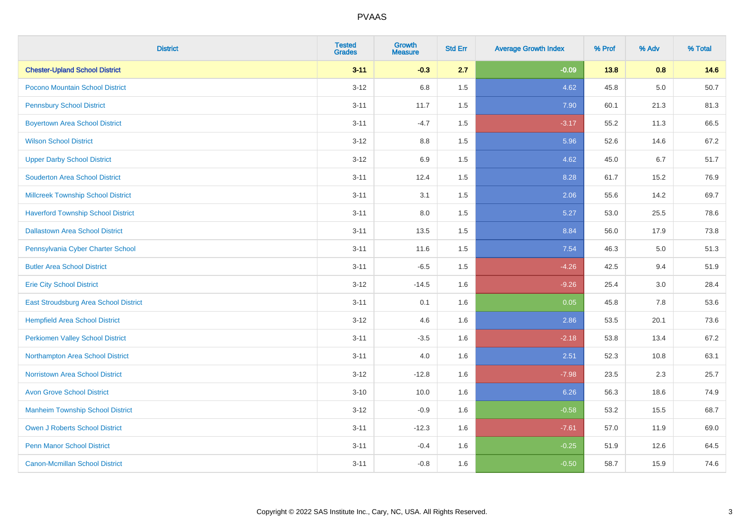| <b>District</b>                           | <b>Tested</b><br><b>Grades</b> | <b>Growth</b><br><b>Measure</b> | <b>Std Err</b> | <b>Average Growth Index</b> | % Prof | % Adv   | % Total |
|-------------------------------------------|--------------------------------|---------------------------------|----------------|-----------------------------|--------|---------|---------|
| <b>Chester-Upland School District</b>     | $3 - 11$                       | $-0.3$                          | 2.7            | $-0.09$                     | 13.8   | 0.8     | 14.6    |
| Pocono Mountain School District           | $3 - 12$                       | 6.8                             | 1.5            | 4.62                        | 45.8   | $5.0\,$ | 50.7    |
| <b>Pennsbury School District</b>          | $3 - 11$                       | 11.7                            | 1.5            | 7.90                        | 60.1   | 21.3    | 81.3    |
| <b>Boyertown Area School District</b>     | $3 - 11$                       | $-4.7$                          | 1.5            | $-3.17$                     | 55.2   | 11.3    | 66.5    |
| <b>Wilson School District</b>             | $3-12$                         | 8.8                             | 1.5            | 5.96                        | 52.6   | 14.6    | 67.2    |
| <b>Upper Darby School District</b>        | $3 - 12$                       | 6.9                             | 1.5            | 4.62                        | 45.0   | 6.7     | 51.7    |
| <b>Souderton Area School District</b>     | $3 - 11$                       | 12.4                            | 1.5            | 8.28                        | 61.7   | 15.2    | 76.9    |
| <b>Millcreek Township School District</b> | $3 - 11$                       | 3.1                             | 1.5            | 2.06                        | 55.6   | 14.2    | 69.7    |
| <b>Haverford Township School District</b> | $3 - 11$                       | 8.0                             | 1.5            | 5.27                        | 53.0   | 25.5    | 78.6    |
| <b>Dallastown Area School District</b>    | $3 - 11$                       | 13.5                            | 1.5            | 8.84                        | 56.0   | 17.9    | 73.8    |
| Pennsylvania Cyber Charter School         | $3 - 11$                       | 11.6                            | 1.5            | 7.54                        | 46.3   | 5.0     | 51.3    |
| <b>Butler Area School District</b>        | $3 - 11$                       | $-6.5$                          | 1.5            | $-4.26$                     | 42.5   | 9.4     | 51.9    |
| <b>Erie City School District</b>          | $3 - 12$                       | $-14.5$                         | 1.6            | $-9.26$                     | 25.4   | 3.0     | 28.4    |
| East Stroudsburg Area School District     | $3 - 11$                       | 0.1                             | 1.6            | 0.05                        | 45.8   | 7.8     | 53.6    |
| <b>Hempfield Area School District</b>     | $3-12$                         | 4.6                             | 1.6            | 2.86                        | 53.5   | 20.1    | 73.6    |
| <b>Perkiomen Valley School District</b>   | $3 - 11$                       | $-3.5$                          | 1.6            | $-2.18$                     | 53.8   | 13.4    | 67.2    |
| Northampton Area School District          | $3 - 11$                       | 4.0                             | 1.6            | 2.51                        | 52.3   | 10.8    | 63.1    |
| <b>Norristown Area School District</b>    | $3-12$                         | $-12.8$                         | 1.6            | $-7.98$                     | 23.5   | 2.3     | 25.7    |
| <b>Avon Grove School District</b>         | $3 - 10$                       | 10.0                            | 1.6            | 6.26                        | 56.3   | 18.6    | 74.9    |
| <b>Manheim Township School District</b>   | $3-12$                         | $-0.9$                          | 1.6            | $-0.58$                     | 53.2   | 15.5    | 68.7    |
| <b>Owen J Roberts School District</b>     | $3 - 11$                       | $-12.3$                         | 1.6            | $-7.61$                     | 57.0   | 11.9    | 69.0    |
| <b>Penn Manor School District</b>         | $3 - 11$                       | $-0.4$                          | 1.6            | $-0.25$                     | 51.9   | 12.6    | 64.5    |
| <b>Canon-Mcmillan School District</b>     | $3 - 11$                       | $-0.8$                          | 1.6            | $-0.50$                     | 58.7   | 15.9    | 74.6    |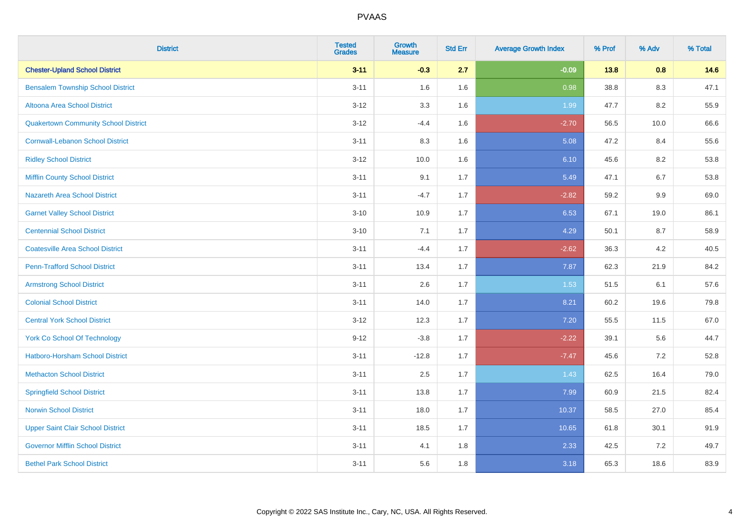| <b>District</b>                             | <b>Tested</b><br><b>Grades</b> | <b>Growth</b><br><b>Measure</b> | <b>Std Err</b> | <b>Average Growth Index</b> | % Prof | % Adv   | % Total |
|---------------------------------------------|--------------------------------|---------------------------------|----------------|-----------------------------|--------|---------|---------|
| <b>Chester-Upland School District</b>       | $3 - 11$                       | $-0.3$                          | 2.7            | $-0.09$                     | 13.8   | 0.8     | 14.6    |
| <b>Bensalem Township School District</b>    | $3 - 11$                       | 1.6                             | 1.6            | 0.98                        | 38.8   | $8.3\,$ | 47.1    |
| Altoona Area School District                | $3 - 12$                       | 3.3                             | 1.6            | 1.99                        | 47.7   | 8.2     | 55.9    |
| <b>Quakertown Community School District</b> | $3 - 12$                       | $-4.4$                          | 1.6            | $-2.70$                     | 56.5   | 10.0    | 66.6    |
| <b>Cornwall-Lebanon School District</b>     | $3 - 11$                       | 8.3                             | 1.6            | 5.08                        | 47.2   | 8.4     | 55.6    |
| <b>Ridley School District</b>               | $3 - 12$                       | 10.0                            | 1.6            | 6.10                        | 45.6   | 8.2     | 53.8    |
| <b>Mifflin County School District</b>       | $3 - 11$                       | 9.1                             | 1.7            | 5.49                        | 47.1   | 6.7     | 53.8    |
| <b>Nazareth Area School District</b>        | $3 - 11$                       | $-4.7$                          | 1.7            | $-2.82$                     | 59.2   | 9.9     | 69.0    |
| <b>Garnet Valley School District</b>        | $3 - 10$                       | 10.9                            | 1.7            | 6.53                        | 67.1   | 19.0    | 86.1    |
| <b>Centennial School District</b>           | $3 - 10$                       | 7.1                             | 1.7            | 4.29                        | 50.1   | 8.7     | 58.9    |
| <b>Coatesville Area School District</b>     | $3 - 11$                       | $-4.4$                          | 1.7            | $-2.62$                     | 36.3   | 4.2     | 40.5    |
| <b>Penn-Trafford School District</b>        | $3 - 11$                       | 13.4                            | 1.7            | 7.87                        | 62.3   | 21.9    | 84.2    |
| <b>Armstrong School District</b>            | $3 - 11$                       | 2.6                             | 1.7            | 1.53                        | 51.5   | 6.1     | 57.6    |
| <b>Colonial School District</b>             | $3 - 11$                       | 14.0                            | 1.7            | 8.21                        | 60.2   | 19.6    | 79.8    |
| <b>Central York School District</b>         | $3 - 12$                       | 12.3                            | 1.7            | 7.20                        | 55.5   | 11.5    | 67.0    |
| York Co School Of Technology                | $9 - 12$                       | $-3.8$                          | 1.7            | $-2.22$                     | 39.1   | 5.6     | 44.7    |
| Hatboro-Horsham School District             | $3 - 11$                       | $-12.8$                         | 1.7            | $-7.47$                     | 45.6   | $7.2\,$ | 52.8    |
| <b>Methacton School District</b>            | $3 - 11$                       | 2.5                             | 1.7            | 1.43                        | 62.5   | 16.4    | 79.0    |
| <b>Springfield School District</b>          | $3 - 11$                       | 13.8                            | 1.7            | 7.99                        | 60.9   | 21.5    | 82.4    |
| <b>Norwin School District</b>               | $3 - 11$                       | 18.0                            | 1.7            | 10.37                       | 58.5   | 27.0    | 85.4    |
| <b>Upper Saint Clair School District</b>    | $3 - 11$                       | 18.5                            | 1.7            | 10.65                       | 61.8   | 30.1    | 91.9    |
| <b>Governor Mifflin School District</b>     | $3 - 11$                       | 4.1                             | 1.8            | 2.33                        | 42.5   | 7.2     | 49.7    |
| <b>Bethel Park School District</b>          | $3 - 11$                       | 5.6                             | 1.8            | 3.18                        | 65.3   | 18.6    | 83.9    |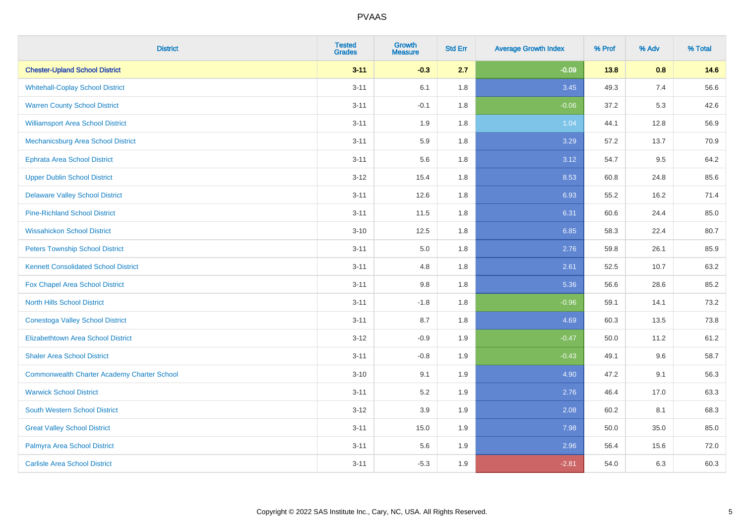| <b>District</b>                                    | <b>Tested</b><br><b>Grades</b> | <b>Growth</b><br><b>Measure</b> | <b>Std Err</b> | <b>Average Growth Index</b> | % Prof | % Adv | % Total |
|----------------------------------------------------|--------------------------------|---------------------------------|----------------|-----------------------------|--------|-------|---------|
| <b>Chester-Upland School District</b>              | $3 - 11$                       | $-0.3$                          | 2.7            | $-0.09$                     | 13.8   | 0.8   | 14.6    |
| <b>Whitehall-Coplay School District</b>            | $3 - 11$                       | 6.1                             | 1.8            | 3.45                        | 49.3   | 7.4   | 56.6    |
| <b>Warren County School District</b>               | $3 - 11$                       | $-0.1$                          | 1.8            | $-0.06$                     | 37.2   | 5.3   | 42.6    |
| <b>Williamsport Area School District</b>           | $3 - 11$                       | 1.9                             | 1.8            | 1.04                        | 44.1   | 12.8  | 56.9    |
| Mechanicsburg Area School District                 | $3 - 11$                       | 5.9                             | 1.8            | 3.29                        | 57.2   | 13.7  | 70.9    |
| Ephrata Area School District                       | $3 - 11$                       | 5.6                             | 1.8            | 3.12                        | 54.7   | 9.5   | 64.2    |
| <b>Upper Dublin School District</b>                | $3 - 12$                       | 15.4                            | 1.8            | 8.53                        | 60.8   | 24.8  | 85.6    |
| <b>Delaware Valley School District</b>             | $3 - 11$                       | 12.6                            | 1.8            | 6.93                        | 55.2   | 16.2  | 71.4    |
| <b>Pine-Richland School District</b>               | $3 - 11$                       | 11.5                            | 1.8            | 6.31                        | 60.6   | 24.4  | 85.0    |
| <b>Wissahickon School District</b>                 | $3 - 10$                       | 12.5                            | 1.8            | 6.85                        | 58.3   | 22.4  | 80.7    |
| <b>Peters Township School District</b>             | $3 - 11$                       | 5.0                             | 1.8            | 2.76                        | 59.8   | 26.1  | 85.9    |
| <b>Kennett Consolidated School District</b>        | $3 - 11$                       | 4.8                             | 1.8            | 2.61                        | 52.5   | 10.7  | 63.2    |
| Fox Chapel Area School District                    | $3 - 11$                       | 9.8                             | 1.8            | 5.36                        | 56.6   | 28.6  | 85.2    |
| <b>North Hills School District</b>                 | $3 - 11$                       | $-1.8$                          | 1.8            | $-0.96$                     | 59.1   | 14.1  | 73.2    |
| <b>Conestoga Valley School District</b>            | $3 - 11$                       | 8.7                             | 1.8            | 4.69                        | 60.3   | 13.5  | 73.8    |
| <b>Elizabethtown Area School District</b>          | $3 - 12$                       | $-0.9$                          | 1.9            | $-0.47$                     | 50.0   | 11.2  | 61.2    |
| <b>Shaler Area School District</b>                 | $3 - 11$                       | $-0.8$                          | 1.9            | $-0.43$                     | 49.1   | 9.6   | 58.7    |
| <b>Commonwealth Charter Academy Charter School</b> | $3 - 10$                       | 9.1                             | 1.9            | 4.90                        | 47.2   | 9.1   | 56.3    |
| <b>Warwick School District</b>                     | $3 - 11$                       | 5.2                             | 1.9            | 2.76                        | 46.4   | 17.0  | 63.3    |
| <b>South Western School District</b>               | $3-12$                         | 3.9                             | 1.9            | 2.08                        | 60.2   | 8.1   | 68.3    |
| <b>Great Valley School District</b>                | $3 - 11$                       | 15.0                            | 1.9            | 7.98                        | 50.0   | 35.0  | 85.0    |
| Palmyra Area School District                       | $3 - 11$                       | 5.6                             | 1.9            | 2.96                        | 56.4   | 15.6  | 72.0    |
| <b>Carlisle Area School District</b>               | $3 - 11$                       | $-5.3$                          | 1.9            | $-2.81$                     | 54.0   | 6.3   | 60.3    |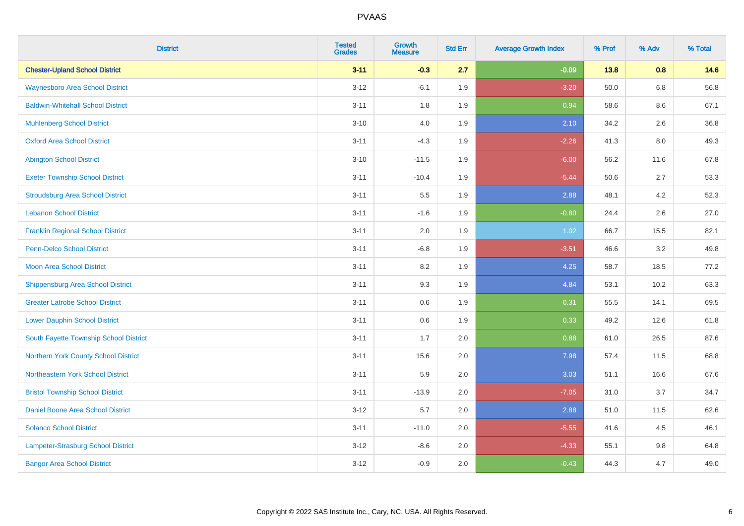| <b>District</b>                          | <b>Tested</b><br><b>Grades</b> | Growth<br><b>Measure</b> | <b>Std Err</b> | <b>Average Growth Index</b> | % Prof | % Adv   | % Total |
|------------------------------------------|--------------------------------|--------------------------|----------------|-----------------------------|--------|---------|---------|
| <b>Chester-Upland School District</b>    | $3 - 11$                       | $-0.3$                   | 2.7            | $-0.09$                     | 13.8   | 0.8     | 14.6    |
| <b>Waynesboro Area School District</b>   | $3 - 12$                       | $-6.1$                   | 1.9            | $-3.20$                     | 50.0   | $6.8\,$ | 56.8    |
| <b>Baldwin-Whitehall School District</b> | $3 - 11$                       | 1.8                      | 1.9            | 0.94                        | 58.6   | 8.6     | 67.1    |
| <b>Muhlenberg School District</b>        | $3 - 10$                       | $4.0\,$                  | 1.9            | 2.10                        | 34.2   | 2.6     | 36.8    |
| <b>Oxford Area School District</b>       | $3 - 11$                       | $-4.3$                   | 1.9            | $-2.26$                     | 41.3   | 8.0     | 49.3    |
| <b>Abington School District</b>          | $3 - 10$                       | $-11.5$                  | 1.9            | $-6.00$                     | 56.2   | 11.6    | 67.8    |
| <b>Exeter Township School District</b>   | $3 - 11$                       | $-10.4$                  | 1.9            | $-5.44$                     | 50.6   | 2.7     | 53.3    |
| <b>Stroudsburg Area School District</b>  | $3 - 11$                       | $5.5\,$                  | 1.9            | 2.88                        | 48.1   | 4.2     | 52.3    |
| <b>Lebanon School District</b>           | $3 - 11$                       | $-1.6$                   | 1.9            | $-0.80$                     | 24.4   | 2.6     | 27.0    |
| <b>Franklin Regional School District</b> | $3 - 11$                       | 2.0                      | 1.9            | 1.02                        | 66.7   | 15.5    | 82.1    |
| <b>Penn-Delco School District</b>        | $3 - 11$                       | $-6.8$                   | 1.9            | $-3.51$                     | 46.6   | 3.2     | 49.8    |
| <b>Moon Area School District</b>         | $3 - 11$                       | 8.2                      | 1.9            | 4.25                        | 58.7   | 18.5    | 77.2    |
| <b>Shippensburg Area School District</b> | $3 - 11$                       | 9.3                      | 1.9            | 4.84                        | 53.1   | 10.2    | 63.3    |
| <b>Greater Latrobe School District</b>   | $3 - 11$                       | 0.6                      | 1.9            | 0.31                        | 55.5   | 14.1    | 69.5    |
| <b>Lower Dauphin School District</b>     | $3 - 11$                       | 0.6                      | 1.9            | 0.33                        | 49.2   | 12.6    | 61.8    |
| South Fayette Township School District   | $3 - 11$                       | 1.7                      | 2.0            | 0.88                        | 61.0   | 26.5    | 87.6    |
| Northern York County School District     | $3 - 11$                       | 15.6                     | 2.0            | 7.98                        | 57.4   | 11.5    | 68.8    |
| Northeastern York School District        | $3 - 11$                       | 5.9                      | 2.0            | 3.03                        | 51.1   | 16.6    | 67.6    |
| <b>Bristol Township School District</b>  | $3 - 11$                       | $-13.9$                  | 2.0            | $-7.05$                     | 31.0   | 3.7     | 34.7    |
| Daniel Boone Area School District        | $3 - 12$                       | 5.7                      | 2.0            | 2.88                        | 51.0   | 11.5    | 62.6    |
| <b>Solanco School District</b>           | $3 - 11$                       | $-11.0$                  | 2.0            | $-5.55$                     | 41.6   | 4.5     | 46.1    |
| Lampeter-Strasburg School District       | $3 - 12$                       | $-8.6$                   | 2.0            | $-4.33$                     | 55.1   | $9.8\,$ | 64.8    |
| <b>Bangor Area School District</b>       | $3 - 12$                       | $-0.9$                   | 2.0            | $-0.43$                     | 44.3   | 4.7     | 49.0    |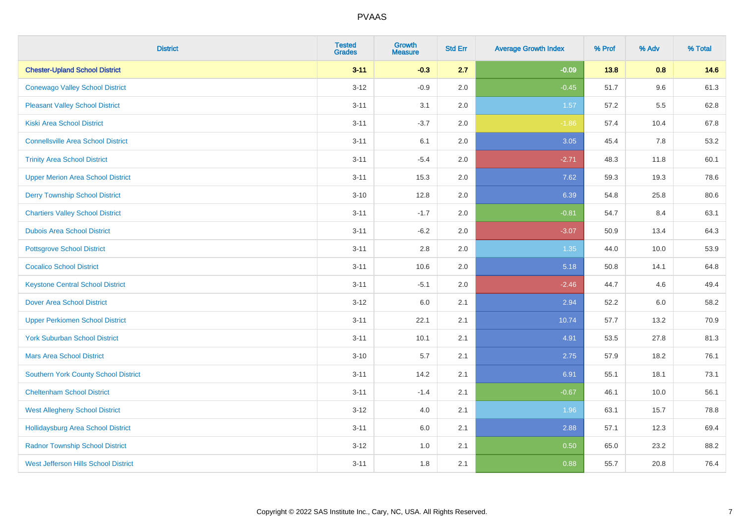| <b>District</b>                             | <b>Tested</b><br><b>Grades</b> | <b>Growth</b><br><b>Measure</b> | <b>Std Err</b> | <b>Average Growth Index</b> | % Prof | % Adv   | % Total |
|---------------------------------------------|--------------------------------|---------------------------------|----------------|-----------------------------|--------|---------|---------|
| <b>Chester-Upland School District</b>       | $3 - 11$                       | $-0.3$                          | 2.7            | $-0.09$                     | 13.8   | 0.8     | 14.6    |
| <b>Conewago Valley School District</b>      | $3 - 12$                       | $-0.9$                          | 2.0            | $-0.45$                     | 51.7   | 9.6     | 61.3    |
| <b>Pleasant Valley School District</b>      | $3 - 11$                       | 3.1                             | 2.0            | 1.57                        | 57.2   | $5.5\,$ | 62.8    |
| Kiski Area School District                  | $3 - 11$                       | $-3.7$                          | 2.0            | $-1.86$                     | 57.4   | 10.4    | 67.8    |
| <b>Connellsville Area School District</b>   | $3 - 11$                       | 6.1                             | 2.0            | 3.05                        | 45.4   | 7.8     | 53.2    |
| <b>Trinity Area School District</b>         | $3 - 11$                       | $-5.4$                          | 2.0            | $-2.71$                     | 48.3   | 11.8    | 60.1    |
| <b>Upper Merion Area School District</b>    | $3 - 11$                       | 15.3                            | 2.0            | 7.62                        | 59.3   | 19.3    | 78.6    |
| <b>Derry Township School District</b>       | $3 - 10$                       | 12.8                            | 2.0            | 6.39                        | 54.8   | 25.8    | 80.6    |
| <b>Chartiers Valley School District</b>     | $3 - 11$                       | $-1.7$                          | 2.0            | $-0.81$                     | 54.7   | 8.4     | 63.1    |
| <b>Dubois Area School District</b>          | $3 - 11$                       | $-6.2$                          | 2.0            | $-3.07$                     | 50.9   | 13.4    | 64.3    |
| <b>Pottsgrove School District</b>           | $3 - 11$                       | 2.8                             | 2.0            | 1.35                        | 44.0   | 10.0    | 53.9    |
| <b>Cocalico School District</b>             | $3 - 11$                       | 10.6                            | 2.0            | 5.18                        | 50.8   | 14.1    | 64.8    |
| <b>Keystone Central School District</b>     | $3 - 11$                       | $-5.1$                          | 2.0            | $-2.46$                     | 44.7   | 4.6     | 49.4    |
| <b>Dover Area School District</b>           | $3-12$                         | 6.0                             | 2.1            | 2.94                        | 52.2   | 6.0     | 58.2    |
| <b>Upper Perkiomen School District</b>      | $3 - 11$                       | 22.1                            | 2.1            | 10.74                       | 57.7   | 13.2    | 70.9    |
| <b>York Suburban School District</b>        | $3 - 11$                       | 10.1                            | 2.1            | 4.91                        | 53.5   | 27.8    | 81.3    |
| <b>Mars Area School District</b>            | $3 - 10$                       | 5.7                             | 2.1            | 2.75                        | 57.9   | 18.2    | 76.1    |
| Southern York County School District        | $3 - 11$                       | 14.2                            | 2.1            | 6.91                        | 55.1   | 18.1    | 73.1    |
| <b>Cheltenham School District</b>           | $3 - 11$                       | $-1.4$                          | 2.1            | $-0.67$                     | 46.1   | 10.0    | 56.1    |
| <b>West Allegheny School District</b>       | $3-12$                         | 4.0                             | 2.1            | 1.96                        | 63.1   | 15.7    | 78.8    |
| <b>Hollidaysburg Area School District</b>   | $3 - 11$                       | 6.0                             | 2.1            | 2.88                        | 57.1   | 12.3    | 69.4    |
| <b>Radnor Township School District</b>      | $3 - 12$                       | 1.0                             | 2.1            | 0.50                        | 65.0   | 23.2    | 88.2    |
| <b>West Jefferson Hills School District</b> | $3 - 11$                       | 1.8                             | 2.1            | 0.88                        | 55.7   | 20.8    | 76.4    |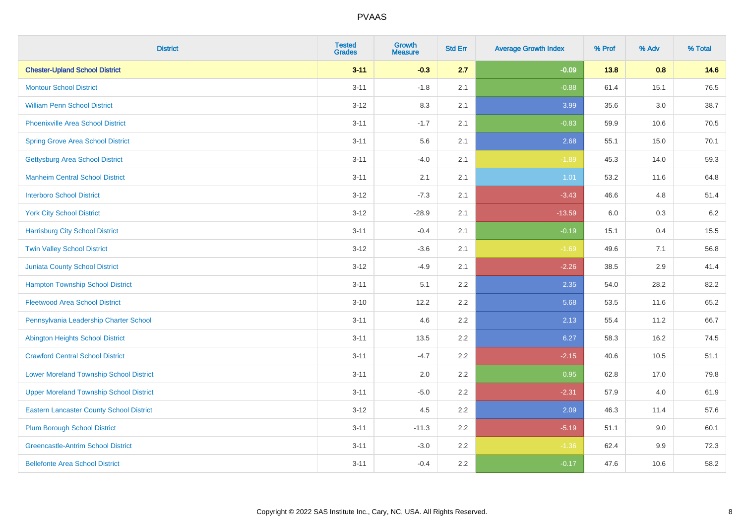| <b>District</b>                                 | <b>Tested</b><br><b>Grades</b> | <b>Growth</b><br><b>Measure</b> | <b>Std Err</b> | <b>Average Growth Index</b> | % Prof | % Adv   | % Total |
|-------------------------------------------------|--------------------------------|---------------------------------|----------------|-----------------------------|--------|---------|---------|
| <b>Chester-Upland School District</b>           | $3 - 11$                       | $-0.3$                          | 2.7            | $-0.09$                     | 13.8   | 0.8     | 14.6    |
| <b>Montour School District</b>                  | $3 - 11$                       | $-1.8$                          | 2.1            | $-0.88$                     | 61.4   | 15.1    | 76.5    |
| <b>William Penn School District</b>             | $3-12$                         | 8.3                             | 2.1            | 3.99                        | 35.6   | $3.0\,$ | 38.7    |
| Phoenixville Area School District               | $3 - 11$                       | $-1.7$                          | 2.1            | $-0.83$                     | 59.9   | 10.6    | 70.5    |
| <b>Spring Grove Area School District</b>        | $3 - 11$                       | 5.6                             | 2.1            | 2.68                        | 55.1   | 15.0    | 70.1    |
| <b>Gettysburg Area School District</b>          | $3 - 11$                       | $-4.0$                          | 2.1            | $-1.89$                     | 45.3   | 14.0    | 59.3    |
| <b>Manheim Central School District</b>          | $3 - 11$                       | 2.1                             | 2.1            | 1.01                        | 53.2   | 11.6    | 64.8    |
| <b>Interboro School District</b>                | $3 - 12$                       | $-7.3$                          | 2.1            | $-3.43$                     | 46.6   | 4.8     | 51.4    |
| <b>York City School District</b>                | $3-12$                         | $-28.9$                         | 2.1            | $-13.59$                    | 6.0    | $0.3\,$ | 6.2     |
| <b>Harrisburg City School District</b>          | $3 - 11$                       | $-0.4$                          | 2.1            | $-0.19$                     | 15.1   | 0.4     | 15.5    |
| <b>Twin Valley School District</b>              | $3 - 12$                       | $-3.6$                          | 2.1            | $-1.69$                     | 49.6   | 7.1     | 56.8    |
| Juniata County School District                  | $3 - 12$                       | $-4.9$                          | 2.1            | $-2.26$                     | 38.5   | 2.9     | 41.4    |
| <b>Hampton Township School District</b>         | $3 - 11$                       | 5.1                             | 2.2            | 2.35                        | 54.0   | 28.2    | 82.2    |
| <b>Fleetwood Area School District</b>           | $3 - 10$                       | 12.2                            | 2.2            | 5.68                        | 53.5   | 11.6    | 65.2    |
| Pennsylvania Leadership Charter School          | $3 - 11$                       | 4.6                             | 2.2            | 2.13                        | 55.4   | 11.2    | 66.7    |
| <b>Abington Heights School District</b>         | $3 - 11$                       | 13.5                            | 2.2            | 6.27                        | 58.3   | 16.2    | 74.5    |
| <b>Crawford Central School District</b>         | $3 - 11$                       | $-4.7$                          | 2.2            | $-2.15$                     | 40.6   | 10.5    | 51.1    |
| <b>Lower Moreland Township School District</b>  | $3 - 11$                       | 2.0                             | 2.2            | 0.95                        | 62.8   | 17.0    | 79.8    |
| <b>Upper Moreland Township School District</b>  | $3 - 11$                       | $-5.0$                          | 2.2            | $-2.31$                     | 57.9   | 4.0     | 61.9    |
| <b>Eastern Lancaster County School District</b> | $3-12$                         | 4.5                             | 2.2            | 2.09                        | 46.3   | 11.4    | 57.6    |
| <b>Plum Borough School District</b>             | $3 - 11$                       | $-11.3$                         | 2.2            | $-5.19$                     | 51.1   | 9.0     | 60.1    |
| <b>Greencastle-Antrim School District</b>       | $3 - 11$                       | $-3.0$                          | 2.2            | $-1.36$                     | 62.4   | 9.9     | 72.3    |
| <b>Bellefonte Area School District</b>          | $3 - 11$                       | $-0.4$                          | 2.2            | $-0.17$                     | 47.6   | 10.6    | 58.2    |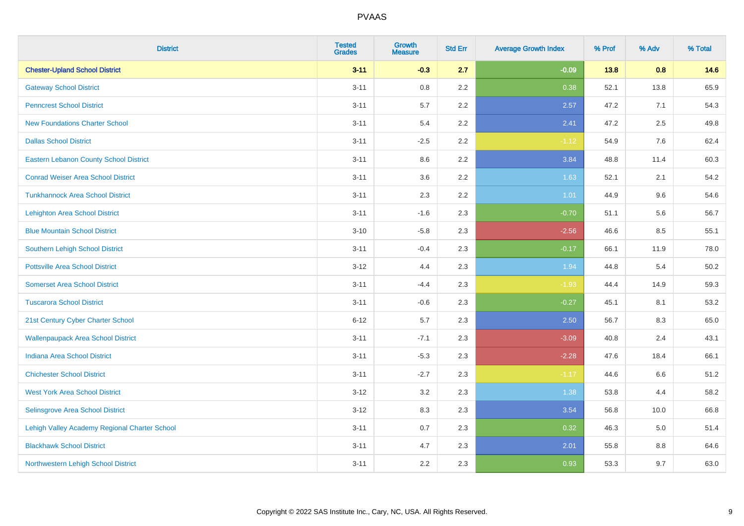| <b>District</b>                               | <b>Tested</b><br><b>Grades</b> | <b>Growth</b><br><b>Measure</b> | <b>Std Err</b> | <b>Average Growth Index</b> | % Prof | % Adv | % Total |
|-----------------------------------------------|--------------------------------|---------------------------------|----------------|-----------------------------|--------|-------|---------|
| <b>Chester-Upland School District</b>         | $3 - 11$                       | $-0.3$                          | 2.7            | $-0.09$                     | 13.8   | 0.8   | 14.6    |
| <b>Gateway School District</b>                | $3 - 11$                       | $0.8\,$                         | 2.2            | 0.38                        | 52.1   | 13.8  | 65.9    |
| <b>Penncrest School District</b>              | $3 - 11$                       | 5.7                             | 2.2            | 2.57                        | 47.2   | 7.1   | 54.3    |
| <b>New Foundations Charter School</b>         | $3 - 11$                       | 5.4                             | 2.2            | 2.41                        | 47.2   | 2.5   | 49.8    |
| <b>Dallas School District</b>                 | $3 - 11$                       | $-2.5$                          | 2.2            | $-1.12$                     | 54.9   | 7.6   | 62.4    |
| <b>Eastern Lebanon County School District</b> | $3 - 11$                       | 8.6                             | 2.2            | 3.84                        | 48.8   | 11.4  | 60.3    |
| <b>Conrad Weiser Area School District</b>     | $3 - 11$                       | 3.6                             | 2.2            | 1.63                        | 52.1   | 2.1   | 54.2    |
| <b>Tunkhannock Area School District</b>       | $3 - 11$                       | 2.3                             | 2.2            | 1.01                        | 44.9   | 9.6   | 54.6    |
| <b>Lehighton Area School District</b>         | $3 - 11$                       | $-1.6$                          | 2.3            | $-0.70$                     | 51.1   | 5.6   | 56.7    |
| <b>Blue Mountain School District</b>          | $3 - 10$                       | $-5.8$                          | 2.3            | $-2.56$                     | 46.6   | 8.5   | 55.1    |
| Southern Lehigh School District               | $3 - 11$                       | $-0.4$                          | 2.3            | $-0.17$                     | 66.1   | 11.9  | 78.0    |
| <b>Pottsville Area School District</b>        | $3 - 12$                       | 4.4                             | 2.3            | 1.94                        | 44.8   | 5.4   | 50.2    |
| <b>Somerset Area School District</b>          | $3 - 11$                       | $-4.4$                          | 2.3            | $-1.93$                     | 44.4   | 14.9  | 59.3    |
| <b>Tuscarora School District</b>              | $3 - 11$                       | $-0.6$                          | 2.3            | $-0.27$                     | 45.1   | 8.1   | 53.2    |
| 21st Century Cyber Charter School             | $6 - 12$                       | 5.7                             | 2.3            | 2.50                        | 56.7   | 8.3   | 65.0    |
| <b>Wallenpaupack Area School District</b>     | $3 - 11$                       | $-7.1$                          | 2.3            | $-3.09$                     | 40.8   | 2.4   | 43.1    |
| <b>Indiana Area School District</b>           | $3 - 11$                       | $-5.3$                          | 2.3            | $-2.28$                     | 47.6   | 18.4  | 66.1    |
| <b>Chichester School District</b>             | $3 - 11$                       | $-2.7$                          | 2.3            | $-1.17$                     | 44.6   | 6.6   | 51.2    |
| <b>West York Area School District</b>         | $3 - 12$                       | 3.2                             | 2.3            | 1.38                        | 53.8   | 4.4   | 58.2    |
| Selinsgrove Area School District              | $3 - 12$                       | 8.3                             | 2.3            | 3.54                        | 56.8   | 10.0  | 66.8    |
| Lehigh Valley Academy Regional Charter School | $3 - 11$                       | 0.7                             | 2.3            | 0.32                        | 46.3   | 5.0   | 51.4    |
| <b>Blackhawk School District</b>              | $3 - 11$                       | 4.7                             | 2.3            | 2.01                        | 55.8   | 8.8   | 64.6    |
| Northwestern Lehigh School District           | $3 - 11$                       | 2.2                             | 2.3            | 0.93                        | 53.3   | 9.7   | 63.0    |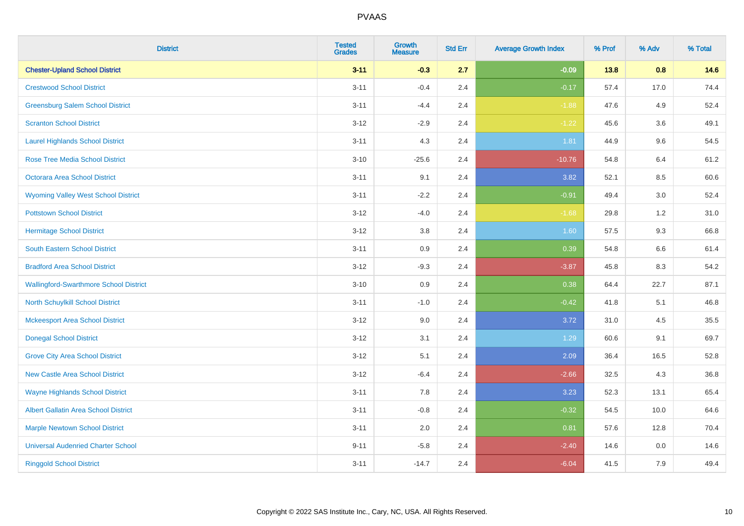| <b>District</b>                               | <b>Tested</b><br><b>Grades</b> | Growth<br><b>Measure</b> | <b>Std Err</b> | <b>Average Growth Index</b> | % Prof | % Adv   | % Total |
|-----------------------------------------------|--------------------------------|--------------------------|----------------|-----------------------------|--------|---------|---------|
| <b>Chester-Upland School District</b>         | $3 - 11$                       | $-0.3$                   | 2.7            | $-0.09$                     | 13.8   | 0.8     | 14.6    |
| <b>Crestwood School District</b>              | $3 - 11$                       | $-0.4$                   | 2.4            | $-0.17$                     | 57.4   | 17.0    | 74.4    |
| <b>Greensburg Salem School District</b>       | $3 - 11$                       | $-4.4$                   | 2.4            | $-1.88$                     | 47.6   | 4.9     | 52.4    |
| <b>Scranton School District</b>               | $3 - 12$                       | $-2.9$                   | 2.4            | $-1.22$                     | 45.6   | 3.6     | 49.1    |
| <b>Laurel Highlands School District</b>       | $3 - 11$                       | 4.3                      | 2.4            | 1.81                        | 44.9   | 9.6     | 54.5    |
| <b>Rose Tree Media School District</b>        | $3 - 10$                       | $-25.6$                  | 2.4            | $-10.76$                    | 54.8   | 6.4     | 61.2    |
| Octorara Area School District                 | $3 - 11$                       | 9.1                      | 2.4            | 3.82                        | 52.1   | 8.5     | 60.6    |
| <b>Wyoming Valley West School District</b>    | $3 - 11$                       | $-2.2$                   | 2.4            | $-0.91$                     | 49.4   | 3.0     | 52.4    |
| <b>Pottstown School District</b>              | $3 - 12$                       | $-4.0$                   | 2.4            | $-1.68$                     | 29.8   | 1.2     | 31.0    |
| <b>Hermitage School District</b>              | $3 - 12$                       | 3.8                      | 2.4            | 1.60                        | 57.5   | 9.3     | 66.8    |
| South Eastern School District                 | $3 - 11$                       | 0.9                      | 2.4            | 0.39                        | 54.8   | 6.6     | 61.4    |
| <b>Bradford Area School District</b>          | $3-12$                         | $-9.3$                   | 2.4            | $-3.87$                     | 45.8   | 8.3     | 54.2    |
| <b>Wallingford-Swarthmore School District</b> | $3 - 10$                       | 0.9                      | 2.4            | 0.38                        | 64.4   | 22.7    | 87.1    |
| <b>North Schuylkill School District</b>       | $3 - 11$                       | $-1.0$                   | 2.4            | $-0.42$                     | 41.8   | 5.1     | 46.8    |
| <b>Mckeesport Area School District</b>        | $3 - 12$                       | 9.0                      | 2.4            | 3.72                        | 31.0   | 4.5     | 35.5    |
| <b>Donegal School District</b>                | $3 - 12$                       | 3.1                      | 2.4            | 1.29                        | 60.6   | 9.1     | 69.7    |
| <b>Grove City Area School District</b>        | $3 - 12$                       | 5.1                      | 2.4            | 2.09                        | 36.4   | 16.5    | 52.8    |
| <b>New Castle Area School District</b>        | $3 - 12$                       | $-6.4$                   | 2.4            | $-2.66$                     | 32.5   | 4.3     | 36.8    |
| <b>Wayne Highlands School District</b>        | $3 - 11$                       | 7.8                      | 2.4            | 3.23                        | 52.3   | 13.1    | 65.4    |
| Albert Gallatin Area School District          | $3 - 11$                       | $-0.8$                   | 2.4            | $-0.32$                     | 54.5   | 10.0    | 64.6    |
| <b>Marple Newtown School District</b>         | $3 - 11$                       | 2.0                      | 2.4            | 0.81                        | 57.6   | 12.8    | 70.4    |
| <b>Universal Audenried Charter School</b>     | $9 - 11$                       | $-5.8$                   | 2.4            | $-2.40$                     | 14.6   | $0.0\,$ | 14.6    |
| <b>Ringgold School District</b>               | $3 - 11$                       | $-14.7$                  | 2.4            | $-6.04$                     | 41.5   | 7.9     | 49.4    |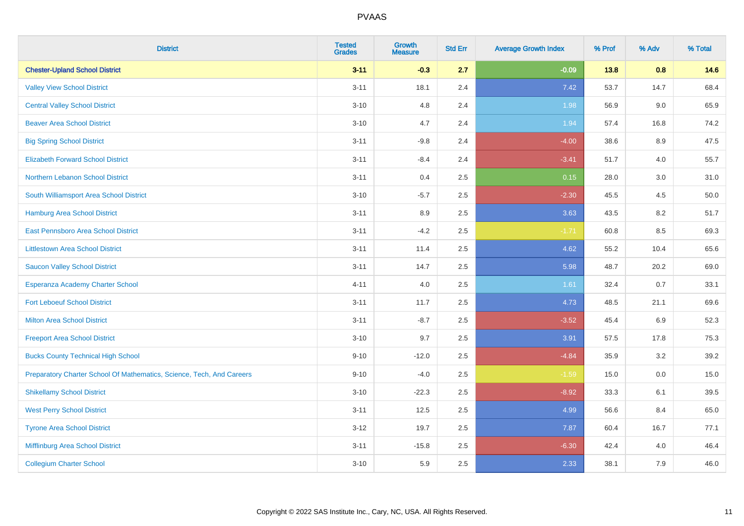| <b>District</b>                                                       | <b>Tested</b><br><b>Grades</b> | <b>Growth</b><br><b>Measure</b> | <b>Std Err</b> | <b>Average Growth Index</b> | % Prof | % Adv | % Total |
|-----------------------------------------------------------------------|--------------------------------|---------------------------------|----------------|-----------------------------|--------|-------|---------|
| <b>Chester-Upland School District</b>                                 | $3 - 11$                       | $-0.3$                          | 2.7            | $-0.09$                     | 13.8   | 0.8   | 14.6    |
| <b>Valley View School District</b>                                    | $3 - 11$                       | 18.1                            | 2.4            | 7.42                        | 53.7   | 14.7  | 68.4    |
| <b>Central Valley School District</b>                                 | $3 - 10$                       | 4.8                             | 2.4            | 1.98                        | 56.9   | 9.0   | 65.9    |
| <b>Beaver Area School District</b>                                    | $3 - 10$                       | 4.7                             | 2.4            | 1.94                        | 57.4   | 16.8  | 74.2    |
| <b>Big Spring School District</b>                                     | $3 - 11$                       | $-9.8$                          | 2.4            | $-4.00$                     | 38.6   | 8.9   | 47.5    |
| <b>Elizabeth Forward School District</b>                              | $3 - 11$                       | $-8.4$                          | 2.4            | $-3.41$                     | 51.7   | 4.0   | 55.7    |
| Northern Lebanon School District                                      | $3 - 11$                       | 0.4                             | 2.5            | 0.15                        | 28.0   | 3.0   | 31.0    |
| South Williamsport Area School District                               | $3 - 10$                       | $-5.7$                          | 2.5            | $-2.30$                     | 45.5   | 4.5   | 50.0    |
| Hamburg Area School District                                          | $3 - 11$                       | 8.9                             | 2.5            | 3.63                        | 43.5   | 8.2   | 51.7    |
| East Pennsboro Area School District                                   | $3 - 11$                       | $-4.2$                          | 2.5            | $-1.71$                     | 60.8   | 8.5   | 69.3    |
| <b>Littlestown Area School District</b>                               | $3 - 11$                       | 11.4                            | 2.5            | 4.62                        | 55.2   | 10.4  | 65.6    |
| <b>Saucon Valley School District</b>                                  | $3 - 11$                       | 14.7                            | 2.5            | 5.98                        | 48.7   | 20.2  | 69.0    |
| Esperanza Academy Charter School                                      | $4 - 11$                       | 4.0                             | 2.5            | 1.61                        | 32.4   | 0.7   | 33.1    |
| <b>Fort Leboeuf School District</b>                                   | $3 - 11$                       | 11.7                            | 2.5            | 4.73                        | 48.5   | 21.1  | 69.6    |
| <b>Milton Area School District</b>                                    | $3 - 11$                       | $-8.7$                          | 2.5            | $-3.52$                     | 45.4   | 6.9   | 52.3    |
| <b>Freeport Area School District</b>                                  | $3 - 10$                       | 9.7                             | 2.5            | 3.91                        | 57.5   | 17.8  | 75.3    |
| <b>Bucks County Technical High School</b>                             | $9 - 10$                       | $-12.0$                         | 2.5            | $-4.84$                     | 35.9   | 3.2   | 39.2    |
| Preparatory Charter School Of Mathematics, Science, Tech, And Careers | $9 - 10$                       | $-4.0$                          | 2.5            | $-1.59$                     | 15.0   | 0.0   | 15.0    |
| <b>Shikellamy School District</b>                                     | $3 - 10$                       | $-22.3$                         | 2.5            | $-8.92$                     | 33.3   | 6.1   | 39.5    |
| <b>West Perry School District</b>                                     | $3 - 11$                       | 12.5                            | 2.5            | 4.99                        | 56.6   | 8.4   | 65.0    |
| <b>Tyrone Area School District</b>                                    | $3 - 12$                       | 19.7                            | 2.5            | 7.87                        | 60.4   | 16.7  | 77.1    |
| Mifflinburg Area School District                                      | $3 - 11$                       | $-15.8$                         | 2.5            | $-6.30$                     | 42.4   | 4.0   | 46.4    |
| <b>Collegium Charter School</b>                                       | $3 - 10$                       | 5.9                             | 2.5            | 2.33                        | 38.1   | 7.9   | 46.0    |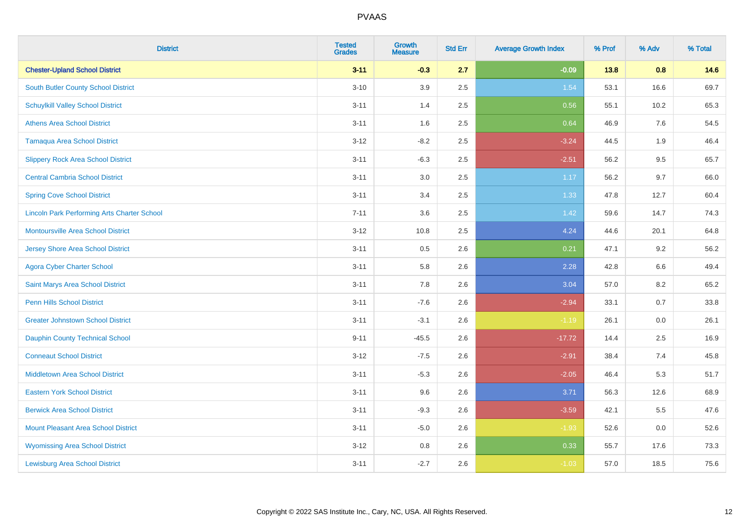| <b>District</b>                                    | <b>Tested</b><br><b>Grades</b> | <b>Growth</b><br><b>Measure</b> | <b>Std Err</b> | <b>Average Growth Index</b> | % Prof | % Adv   | % Total |
|----------------------------------------------------|--------------------------------|---------------------------------|----------------|-----------------------------|--------|---------|---------|
| <b>Chester-Upland School District</b>              | $3 - 11$                       | $-0.3$                          | 2.7            | $-0.09$                     | 13.8   | 0.8     | 14.6    |
| South Butler County School District                | $3 - 10$                       | 3.9                             | 2.5            | 1.54                        | 53.1   | 16.6    | 69.7    |
| <b>Schuylkill Valley School District</b>           | $3 - 11$                       | 1.4                             | 2.5            | 0.56                        | 55.1   | 10.2    | 65.3    |
| <b>Athens Area School District</b>                 | $3 - 11$                       | 1.6                             | 2.5            | 0.64                        | 46.9   | 7.6     | 54.5    |
| Tamaqua Area School District                       | $3 - 12$                       | $-8.2$                          | 2.5            | $-3.24$                     | 44.5   | 1.9     | 46.4    |
| <b>Slippery Rock Area School District</b>          | $3 - 11$                       | $-6.3$                          | 2.5            | $-2.51$                     | 56.2   | 9.5     | 65.7    |
| <b>Central Cambria School District</b>             | $3 - 11$                       | 3.0                             | 2.5            | 1.17                        | 56.2   | 9.7     | 66.0    |
| <b>Spring Cove School District</b>                 | $3 - 11$                       | 3.4                             | 2.5            | 1.33                        | 47.8   | 12.7    | 60.4    |
| <b>Lincoln Park Performing Arts Charter School</b> | $7 - 11$                       | 3.6                             | 2.5            | 1.42                        | 59.6   | 14.7    | 74.3    |
| <b>Montoursville Area School District</b>          | $3 - 12$                       | 10.8                            | 2.5            | 4.24                        | 44.6   | 20.1    | 64.8    |
| <b>Jersey Shore Area School District</b>           | $3 - 11$                       | 0.5                             | 2.6            | 0.21                        | 47.1   | 9.2     | 56.2    |
| <b>Agora Cyber Charter School</b>                  | $3 - 11$                       | 5.8                             | 2.6            | 2.28                        | 42.8   | 6.6     | 49.4    |
| Saint Marys Area School District                   | $3 - 11$                       | 7.8                             | 2.6            | 3.04                        | 57.0   | $8.2\,$ | 65.2    |
| <b>Penn Hills School District</b>                  | $3 - 11$                       | $-7.6$                          | 2.6            | $-2.94$                     | 33.1   | 0.7     | 33.8    |
| <b>Greater Johnstown School District</b>           | $3 - 11$                       | $-3.1$                          | 2.6            | $-1.19$                     | 26.1   | 0.0     | 26.1    |
| <b>Dauphin County Technical School</b>             | $9 - 11$                       | $-45.5$                         | 2.6            | $-17.72$                    | 14.4   | 2.5     | 16.9    |
| <b>Conneaut School District</b>                    | $3 - 12$                       | $-7.5$                          | 2.6            | $-2.91$                     | 38.4   | 7.4     | 45.8    |
| <b>Middletown Area School District</b>             | $3 - 11$                       | $-5.3$                          | 2.6            | $-2.05$                     | 46.4   | 5.3     | 51.7    |
| <b>Eastern York School District</b>                | $3 - 11$                       | 9.6                             | 2.6            | 3.71                        | 56.3   | 12.6    | 68.9    |
| <b>Berwick Area School District</b>                | $3 - 11$                       | $-9.3$                          | 2.6            | $-3.59$                     | 42.1   | 5.5     | 47.6    |
| <b>Mount Pleasant Area School District</b>         | $3 - 11$                       | $-5.0$                          | 2.6            | $-1.93$                     | 52.6   | 0.0     | 52.6    |
| <b>Wyomissing Area School District</b>             | $3 - 12$                       | $0.8\,$                         | 2.6            | 0.33                        | 55.7   | 17.6    | 73.3    |
| <b>Lewisburg Area School District</b>              | $3 - 11$                       | $-2.7$                          | 2.6            | $-1.03$                     | 57.0   | 18.5    | 75.6    |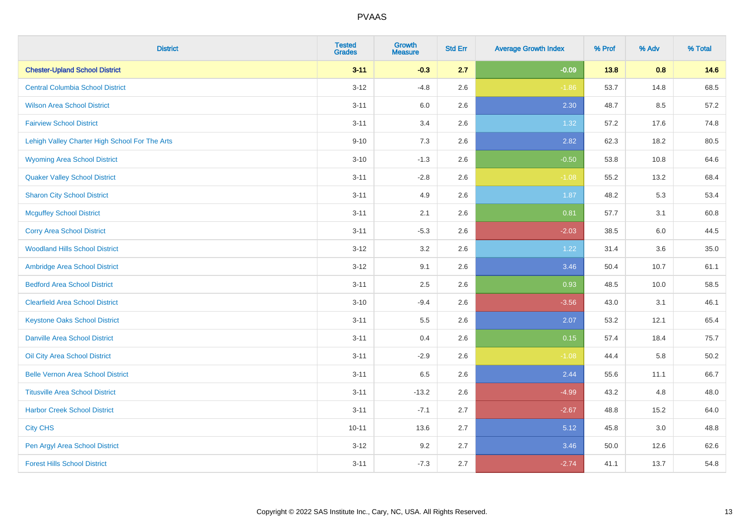| <b>District</b>                                | <b>Tested</b><br><b>Grades</b> | <b>Growth</b><br><b>Measure</b> | <b>Std Err</b> | <b>Average Growth Index</b> | % Prof | % Adv | % Total |
|------------------------------------------------|--------------------------------|---------------------------------|----------------|-----------------------------|--------|-------|---------|
| <b>Chester-Upland School District</b>          | $3 - 11$                       | $-0.3$                          | 2.7            | $-0.09$                     | 13.8   | 0.8   | 14.6    |
| <b>Central Columbia School District</b>        | $3 - 12$                       | $-4.8$                          | 2.6            | $-1.86$                     | 53.7   | 14.8  | 68.5    |
| <b>Wilson Area School District</b>             | $3 - 11$                       | 6.0                             | 2.6            | 2.30                        | 48.7   | 8.5   | 57.2    |
| <b>Fairview School District</b>                | $3 - 11$                       | 3.4                             | 2.6            | 1.32                        | 57.2   | 17.6  | 74.8    |
| Lehigh Valley Charter High School For The Arts | $9 - 10$                       | 7.3                             | 2.6            | 2.82                        | 62.3   | 18.2  | 80.5    |
| <b>Wyoming Area School District</b>            | $3 - 10$                       | $-1.3$                          | 2.6            | $-0.50$                     | 53.8   | 10.8  | 64.6    |
| <b>Quaker Valley School District</b>           | $3 - 11$                       | $-2.8$                          | 2.6            | $-1.08$                     | 55.2   | 13.2  | 68.4    |
| <b>Sharon City School District</b>             | $3 - 11$                       | 4.9                             | 2.6            | 1.87                        | 48.2   | 5.3   | 53.4    |
| <b>Mcguffey School District</b>                | $3 - 11$                       | 2.1                             | 2.6            | 0.81                        | 57.7   | 3.1   | 60.8    |
| <b>Corry Area School District</b>              | $3 - 11$                       | $-5.3$                          | 2.6            | $-2.03$                     | 38.5   | 6.0   | 44.5    |
| <b>Woodland Hills School District</b>          | $3-12$                         | 3.2                             | 2.6            | 1.22                        | 31.4   | 3.6   | 35.0    |
| Ambridge Area School District                  | $3 - 12$                       | 9.1                             | 2.6            | 3.46                        | 50.4   | 10.7  | 61.1    |
| <b>Bedford Area School District</b>            | $3 - 11$                       | 2.5                             | 2.6            | 0.93                        | 48.5   | 10.0  | 58.5    |
| <b>Clearfield Area School District</b>         | $3 - 10$                       | $-9.4$                          | 2.6            | $-3.56$                     | 43.0   | 3.1   | 46.1    |
| <b>Keystone Oaks School District</b>           | $3 - 11$                       | $5.5\,$                         | 2.6            | 2.07                        | 53.2   | 12.1  | 65.4    |
| <b>Danville Area School District</b>           | $3 - 11$                       | 0.4                             | 2.6            | 0.15                        | 57.4   | 18.4  | 75.7    |
| <b>Oil City Area School District</b>           | $3 - 11$                       | $-2.9$                          | 2.6            | $-1.08$                     | 44.4   | 5.8   | 50.2    |
| <b>Belle Vernon Area School District</b>       | $3 - 11$                       | 6.5                             | 2.6            | 2.44                        | 55.6   | 11.1  | 66.7    |
| <b>Titusville Area School District</b>         | $3 - 11$                       | $-13.2$                         | 2.6            | $-4.99$                     | 43.2   | 4.8   | 48.0    |
| <b>Harbor Creek School District</b>            | $3 - 11$                       | $-7.1$                          | 2.7            | $-2.67$                     | 48.8   | 15.2  | 64.0    |
| <b>City CHS</b>                                | $10 - 11$                      | 13.6                            | 2.7            | 5.12                        | 45.8   | 3.0   | 48.8    |
| Pen Argyl Area School District                 | $3 - 12$                       | 9.2                             | 2.7            | 3.46                        | 50.0   | 12.6  | 62.6    |
| <b>Forest Hills School District</b>            | $3 - 11$                       | $-7.3$                          | 2.7            | $-2.74$                     | 41.1   | 13.7  | 54.8    |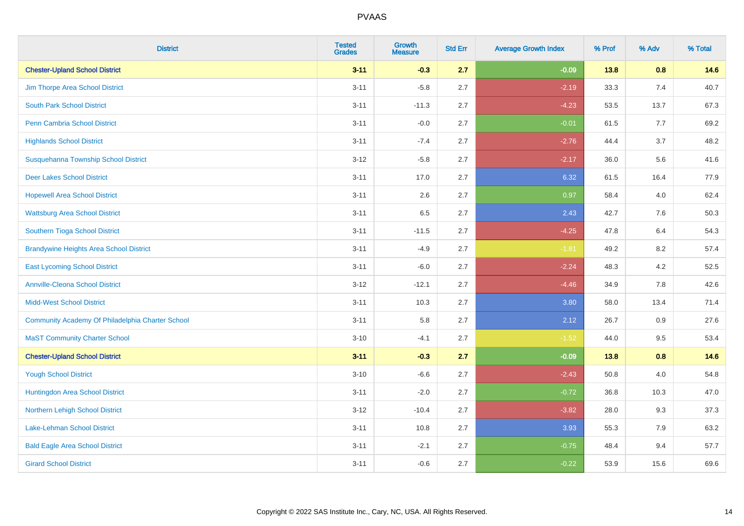| <b>District</b>                                  | <b>Tested</b><br><b>Grades</b> | Growth<br><b>Measure</b> | <b>Std Err</b> | <b>Average Growth Index</b> | % Prof | % Adv   | % Total |
|--------------------------------------------------|--------------------------------|--------------------------|----------------|-----------------------------|--------|---------|---------|
| <b>Chester-Upland School District</b>            | $3 - 11$                       | $-0.3$                   | 2.7            | $-0.09$                     | 13.8   | 0.8     | 14.6    |
| Jim Thorpe Area School District                  | $3 - 11$                       | $-5.8$                   | 2.7            | $-2.19$                     | 33.3   | 7.4     | 40.7    |
| <b>South Park School District</b>                | $3 - 11$                       | $-11.3$                  | 2.7            | $-4.23$                     | 53.5   | 13.7    | 67.3    |
| Penn Cambria School District                     | $3 - 11$                       | $-0.0$                   | 2.7            | $-0.01$                     | 61.5   | 7.7     | 69.2    |
| <b>Highlands School District</b>                 | $3 - 11$                       | $-7.4$                   | 2.7            | $-2.76$                     | 44.4   | 3.7     | 48.2    |
| Susquehanna Township School District             | $3-12$                         | $-5.8$                   | 2.7            | $-2.17$                     | 36.0   | 5.6     | 41.6    |
| <b>Deer Lakes School District</b>                | $3 - 11$                       | 17.0                     | 2.7            | 6.32                        | 61.5   | 16.4    | 77.9    |
| <b>Hopewell Area School District</b>             | $3 - 11$                       | 2.6                      | 2.7            | 0.97                        | 58.4   | 4.0     | 62.4    |
| <b>Wattsburg Area School District</b>            | $3 - 11$                       | 6.5                      | 2.7            | 2.43                        | 42.7   | 7.6     | 50.3    |
| Southern Tioga School District                   | $3 - 11$                       | $-11.5$                  | 2.7            | $-4.25$                     | 47.8   | 6.4     | 54.3    |
| <b>Brandywine Heights Area School District</b>   | $3 - 11$                       | $-4.9$                   | 2.7            | $-1.81$                     | 49.2   | 8.2     | 57.4    |
| <b>East Lycoming School District</b>             | $3 - 11$                       | $-6.0$                   | 2.7            | $-2.24$                     | 48.3   | 4.2     | 52.5    |
| <b>Annville-Cleona School District</b>           | $3 - 12$                       | $-12.1$                  | 2.7            | $-4.46$                     | 34.9   | $7.8\,$ | 42.6    |
| <b>Midd-West School District</b>                 | $3 - 11$                       | 10.3                     | 2.7            | 3.80                        | 58.0   | 13.4    | 71.4    |
| Community Academy Of Philadelphia Charter School | $3 - 11$                       | 5.8                      | 2.7            | 2.12                        | 26.7   | 0.9     | 27.6    |
| <b>MaST Community Charter School</b>             | $3 - 10$                       | $-4.1$                   | 2.7            | $-1.52$                     | 44.0   | 9.5     | 53.4    |
| <b>Chester-Upland School District</b>            | $3 - 11$                       | $-0.3$                   | 2.7            | $-0.09$                     | 13.8   | 0.8     | 14.6    |
| <b>Yough School District</b>                     | $3 - 10$                       | $-6.6$                   | 2.7            | $-2.43$                     | 50.8   | 4.0     | 54.8    |
| Huntingdon Area School District                  | $3 - 11$                       | $-2.0$                   | 2.7            | $-0.72$                     | 36.8   | 10.3    | 47.0    |
| Northern Lehigh School District                  | $3-12$                         | $-10.4$                  | 2.7            | $-3.82$                     | 28.0   | 9.3     | 37.3    |
| Lake-Lehman School District                      | $3 - 11$                       | 10.8                     | 2.7            | 3.93                        | 55.3   | 7.9     | 63.2    |
| <b>Bald Eagle Area School District</b>           | $3 - 11$                       | $-2.1$                   | 2.7            | $-0.75$                     | 48.4   | 9.4     | 57.7    |
| <b>Girard School District</b>                    | $3 - 11$                       | $-0.6$                   | 2.7            | $-0.22$                     | 53.9   | 15.6    | 69.6    |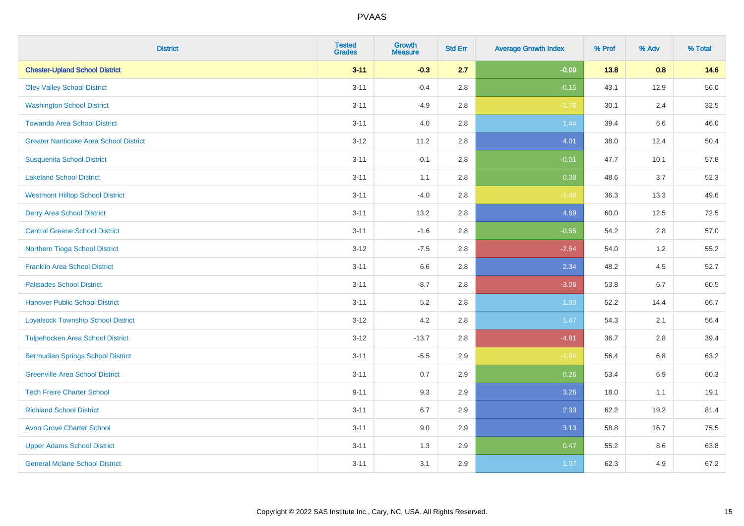| <b>District</b>                               | <b>Tested</b><br><b>Grades</b> | <b>Growth</b><br><b>Measure</b> | <b>Std Err</b> | <b>Average Growth Index</b> | % Prof | % Adv | % Total |
|-----------------------------------------------|--------------------------------|---------------------------------|----------------|-----------------------------|--------|-------|---------|
| <b>Chester-Upland School District</b>         | $3 - 11$                       | $-0.3$                          | 2.7            | $-0.09$                     | 13.8   | 0.8   | 14.6    |
| <b>Oley Valley School District</b>            | $3 - 11$                       | $-0.4$                          | 2.8            | $-0.15$                     | 43.1   | 12.9  | 56.0    |
| <b>Washington School District</b>             | $3 - 11$                       | $-4.9$                          | 2.8            | $-1.76$                     | 30.1   | 2.4   | 32.5    |
| <b>Towanda Area School District</b>           | $3 - 11$                       | 4.0                             | 2.8            | 1.44                        | 39.4   | 6.6   | 46.0    |
| <b>Greater Nanticoke Area School District</b> | $3-12$                         | 11.2                            | 2.8            | 4.01                        | 38.0   | 12.4  | 50.4    |
| <b>Susquenita School District</b>             | $3 - 11$                       | $-0.1$                          | 2.8            | $-0.01$                     | 47.7   | 10.1  | 57.8    |
| <b>Lakeland School District</b>               | $3 - 11$                       | 1.1                             | 2.8            | 0.38                        | 48.6   | 3.7   | 52.3    |
| <b>Westmont Hilltop School District</b>       | $3 - 11$                       | $-4.0$                          | 2.8            | $-1.40$                     | 36.3   | 13.3  | 49.6    |
| <b>Derry Area School District</b>             | $3 - 11$                       | 13.2                            | 2.8            | 4.69                        | 60.0   | 12.5  | 72.5    |
| <b>Central Greene School District</b>         | $3 - 11$                       | $-1.6$                          | 2.8            | $-0.55$                     | 54.2   | 2.8   | 57.0    |
| Northern Tioga School District                | $3-12$                         | $-7.5$                          | 2.8            | $-2.64$                     | 54.0   | 1.2   | 55.2    |
| <b>Franklin Area School District</b>          | $3 - 11$                       | 6.6                             | 2.8            | 2.34                        | 48.2   | 4.5   | 52.7    |
| <b>Palisades School District</b>              | $3 - 11$                       | $-8.7$                          | 2.8            | $-3.06$                     | 53.8   | 6.7   | 60.5    |
| <b>Hanover Public School District</b>         | $3 - 11$                       | 5.2                             | 2.8            | 1.83                        | 52.2   | 14.4  | 66.7    |
| <b>Loyalsock Township School District</b>     | $3-12$                         | 4.2                             | 2.8            | 1.47                        | 54.3   | 2.1   | 56.4    |
| <b>Tulpehocken Area School District</b>       | $3 - 12$                       | $-13.7$                         | 2.8            | $-4.81$                     | 36.7   | 2.8   | 39.4    |
| <b>Bermudian Springs School District</b>      | $3 - 11$                       | $-5.5$                          | 2.9            | $-1.94$                     | 56.4   | 6.8   | 63.2    |
| <b>Greenville Area School District</b>        | $3 - 11$                       | 0.7                             | 2.9            | 0.26                        | 53.4   | 6.9   | 60.3    |
| <b>Tech Freire Charter School</b>             | $9 - 11$                       | 9.3                             | 2.9            | 3.26                        | 18.0   | 1.1   | 19.1    |
| <b>Richland School District</b>               | $3 - 11$                       | 6.7                             | 2.9            | 2.33                        | 62.2   | 19.2  | 81.4    |
| <b>Avon Grove Charter School</b>              | $3 - 11$                       | 9.0                             | 2.9            | 3.13                        | 58.8   | 16.7  | 75.5    |
| <b>Upper Adams School District</b>            | $3 - 11$                       | 1.3                             | 2.9            | 0.47                        | 55.2   | 8.6   | 63.8    |
| <b>General Mclane School District</b>         | $3 - 11$                       | 3.1                             | 2.9            | 1.07                        | 62.3   | 4.9   | 67.2    |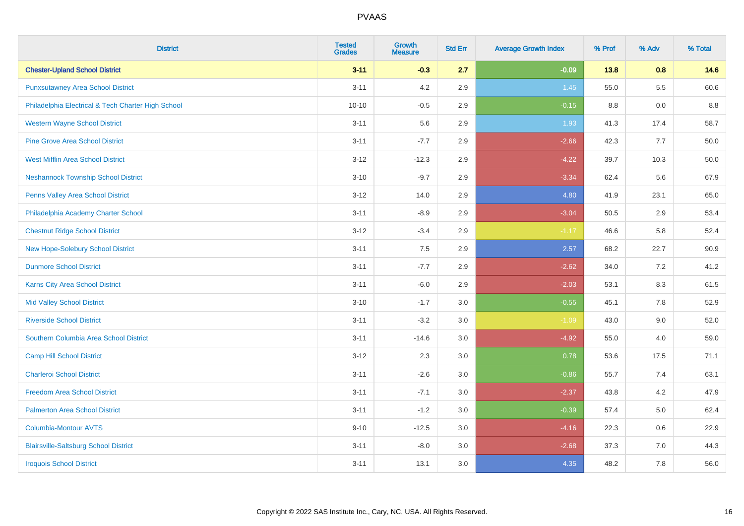| <b>District</b>                                    | <b>Tested</b><br><b>Grades</b> | <b>Growth</b><br><b>Measure</b> | <b>Std Err</b> | <b>Average Growth Index</b> | % Prof | % Adv   | % Total |
|----------------------------------------------------|--------------------------------|---------------------------------|----------------|-----------------------------|--------|---------|---------|
| <b>Chester-Upland School District</b>              | $3 - 11$                       | $-0.3$                          | 2.7            | $-0.09$                     | 13.8   | 0.8     | 14.6    |
| <b>Punxsutawney Area School District</b>           | $3 - 11$                       | 4.2                             | 2.9            | 1.45                        | 55.0   | $5.5\,$ | 60.6    |
| Philadelphia Electrical & Tech Charter High School | $10 - 10$                      | $-0.5$                          | 2.9            | $-0.15$                     | 8.8    | 0.0     | 8.8     |
| <b>Western Wayne School District</b>               | $3 - 11$                       | 5.6                             | 2.9            | 1.93                        | 41.3   | 17.4    | 58.7    |
| <b>Pine Grove Area School District</b>             | $3 - 11$                       | $-7.7$                          | 2.9            | $-2.66$                     | 42.3   | 7.7     | 50.0    |
| <b>West Mifflin Area School District</b>           | $3 - 12$                       | $-12.3$                         | 2.9            | $-4.22$                     | 39.7   | 10.3    | 50.0    |
| <b>Neshannock Township School District</b>         | $3 - 10$                       | $-9.7$                          | 2.9            | $-3.34$                     | 62.4   | 5.6     | 67.9    |
| <b>Penns Valley Area School District</b>           | $3 - 12$                       | 14.0                            | 2.9            | 4.80                        | 41.9   | 23.1    | 65.0    |
| Philadelphia Academy Charter School                | $3 - 11$                       | $-8.9$                          | 2.9            | $-3.04$                     | 50.5   | 2.9     | 53.4    |
| <b>Chestnut Ridge School District</b>              | $3 - 12$                       | $-3.4$                          | 2.9            | $-1.17$                     | 46.6   | 5.8     | 52.4    |
| New Hope-Solebury School District                  | $3 - 11$                       | 7.5                             | 2.9            | 2.57                        | 68.2   | 22.7    | 90.9    |
| <b>Dunmore School District</b>                     | $3 - 11$                       | $-7.7$                          | 2.9            | $-2.62$                     | 34.0   | 7.2     | 41.2    |
| Karns City Area School District                    | $3 - 11$                       | $-6.0$                          | 2.9            | $-2.03$                     | 53.1   | $8.3\,$ | 61.5    |
| <b>Mid Valley School District</b>                  | $3 - 10$                       | $-1.7$                          | 3.0            | $-0.55$                     | 45.1   | $7.8\,$ | 52.9    |
| <b>Riverside School District</b>                   | $3 - 11$                       | $-3.2$                          | 3.0            | $-1.09$                     | 43.0   | 9.0     | 52.0    |
| Southern Columbia Area School District             | $3 - 11$                       | $-14.6$                         | 3.0            | $-4.92$                     | 55.0   | 4.0     | 59.0    |
| <b>Camp Hill School District</b>                   | $3 - 12$                       | 2.3                             | 3.0            | 0.78                        | 53.6   | 17.5    | 71.1    |
| <b>Charleroi School District</b>                   | $3 - 11$                       | $-2.6$                          | 3.0            | $-0.86$                     | 55.7   | 7.4     | 63.1    |
| <b>Freedom Area School District</b>                | $3 - 11$                       | $-7.1$                          | 3.0            | $-2.37$                     | 43.8   | 4.2     | 47.9    |
| <b>Palmerton Area School District</b>              | $3 - 11$                       | $-1.2$                          | 3.0            | $-0.39$                     | 57.4   | 5.0     | 62.4    |
| <b>Columbia-Montour AVTS</b>                       | $9 - 10$                       | $-12.5$                         | 3.0            | $-4.16$                     | 22.3   | 0.6     | 22.9    |
| <b>Blairsville-Saltsburg School District</b>       | $3 - 11$                       | $-8.0$                          | 3.0            | $-2.68$                     | 37.3   | 7.0     | 44.3    |
| <b>Iroquois School District</b>                    | $3 - 11$                       | 13.1                            | 3.0            | 4.35                        | 48.2   | 7.8     | 56.0    |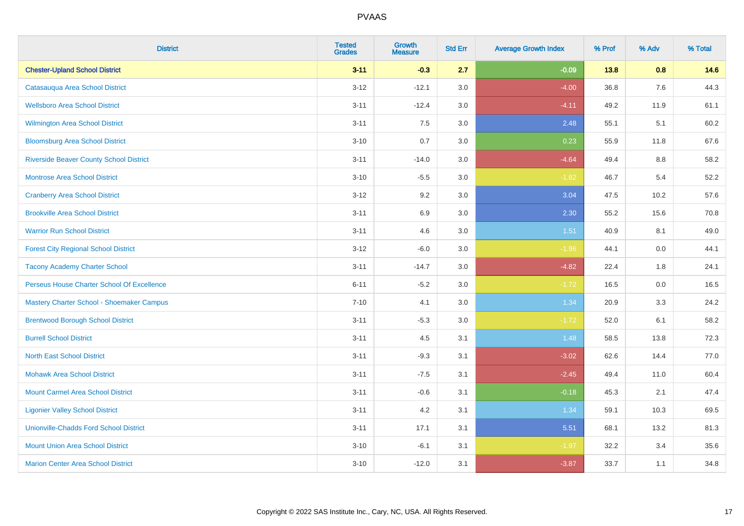| <b>District</b>                                | <b>Tested</b><br><b>Grades</b> | <b>Growth</b><br><b>Measure</b> | <b>Std Err</b> | <b>Average Growth Index</b> | % Prof | % Adv   | % Total |
|------------------------------------------------|--------------------------------|---------------------------------|----------------|-----------------------------|--------|---------|---------|
| <b>Chester-Upland School District</b>          | $3 - 11$                       | $-0.3$                          | 2.7            | $-0.09$                     | 13.8   | 0.8     | 14.6    |
| Catasauqua Area School District                | $3 - 12$                       | $-12.1$                         | 3.0            | $-4.00$                     | 36.8   | 7.6     | 44.3    |
| <b>Wellsboro Area School District</b>          | $3 - 11$                       | $-12.4$                         | 3.0            | $-4.11$                     | 49.2   | 11.9    | 61.1    |
| <b>Wilmington Area School District</b>         | $3 - 11$                       | 7.5                             | 3.0            | 2.48                        | 55.1   | 5.1     | 60.2    |
| <b>Bloomsburg Area School District</b>         | $3 - 10$                       | 0.7                             | 3.0            | 0.23                        | 55.9   | 11.8    | 67.6    |
| <b>Riverside Beaver County School District</b> | $3 - 11$                       | $-14.0$                         | 3.0            | $-4.64$                     | 49.4   | 8.8     | 58.2    |
| <b>Montrose Area School District</b>           | $3 - 10$                       | $-5.5$                          | 3.0            | $-1.82$                     | 46.7   | 5.4     | 52.2    |
| <b>Cranberry Area School District</b>          | $3 - 12$                       | 9.2                             | 3.0            | 3.04                        | 47.5   | 10.2    | 57.6    |
| <b>Brookville Area School District</b>         | $3 - 11$                       | 6.9                             | 3.0            | 2.30                        | 55.2   | 15.6    | 70.8    |
| <b>Warrior Run School District</b>             | $3 - 11$                       | 4.6                             | 3.0            | 1.51                        | 40.9   | 8.1     | 49.0    |
| <b>Forest City Regional School District</b>    | $3 - 12$                       | $-6.0$                          | 3.0            | $-1.96$                     | 44.1   | 0.0     | 44.1    |
| <b>Tacony Academy Charter School</b>           | $3 - 11$                       | $-14.7$                         | 3.0            | $-4.82$                     | 22.4   | 1.8     | 24.1    |
| Perseus House Charter School Of Excellence     | $6 - 11$                       | $-5.2$                          | 3.0            | $-1.72$                     | 16.5   | $0.0\,$ | 16.5    |
| Mastery Charter School - Shoemaker Campus      | $7 - 10$                       | 4.1                             | 3.0            | 1.34                        | 20.9   | 3.3     | 24.2    |
| <b>Brentwood Borough School District</b>       | $3 - 11$                       | $-5.3$                          | 3.0            | $-1.72$                     | 52.0   | 6.1     | 58.2    |
| <b>Burrell School District</b>                 | $3 - 11$                       | 4.5                             | 3.1            | 1.48                        | 58.5   | 13.8    | 72.3    |
| <b>North East School District</b>              | $3 - 11$                       | $-9.3$                          | 3.1            | $-3.02$                     | 62.6   | 14.4    | 77.0    |
| <b>Mohawk Area School District</b>             | $3 - 11$                       | $-7.5$                          | 3.1            | $-2.45$                     | 49.4   | 11.0    | 60.4    |
| <b>Mount Carmel Area School District</b>       | $3 - 11$                       | $-0.6$                          | 3.1            | $-0.18$                     | 45.3   | 2.1     | 47.4    |
| <b>Ligonier Valley School District</b>         | $3 - 11$                       | 4.2                             | 3.1            | 1.34                        | 59.1   | 10.3    | 69.5    |
| <b>Unionville-Chadds Ford School District</b>  | $3 - 11$                       | 17.1                            | 3.1            | 5.51                        | 68.1   | 13.2    | 81.3    |
| <b>Mount Union Area School District</b>        | $3 - 10$                       | $-6.1$                          | 3.1            | $-1.97$                     | 32.2   | 3.4     | 35.6    |
| <b>Marion Center Area School District</b>      | $3 - 10$                       | $-12.0$                         | 3.1            | $-3.87$                     | 33.7   | 1.1     | 34.8    |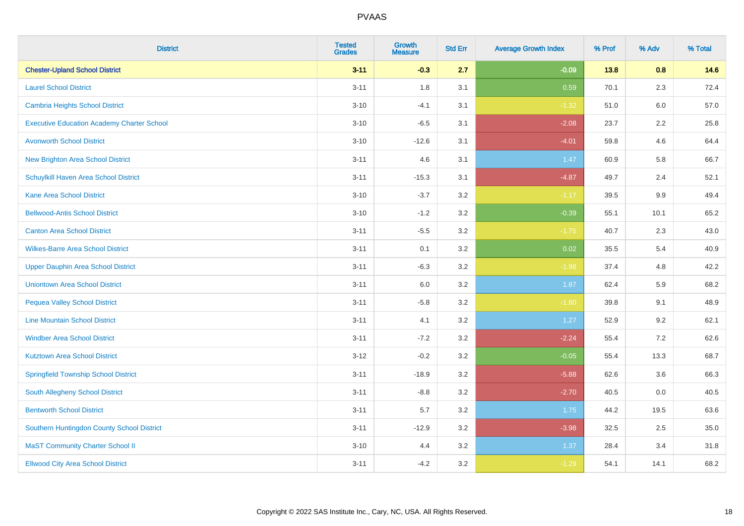| <b>District</b>                                   | <b>Tested</b><br><b>Grades</b> | Growth<br><b>Measure</b> | <b>Std Err</b> | <b>Average Growth Index</b> | % Prof | % Adv   | % Total |
|---------------------------------------------------|--------------------------------|--------------------------|----------------|-----------------------------|--------|---------|---------|
| <b>Chester-Upland School District</b>             | $3 - 11$                       | $-0.3$                   | 2.7            | $-0.09$                     | 13.8   | 0.8     | 14.6    |
| <b>Laurel School District</b>                     | $3 - 11$                       | 1.8                      | 3.1            | 0.59                        | 70.1   | 2.3     | 72.4    |
| Cambria Heights School District                   | $3 - 10$                       | $-4.1$                   | 3.1            | $-1.32$                     | 51.0   | 6.0     | 57.0    |
| <b>Executive Education Academy Charter School</b> | $3 - 10$                       | $-6.5$                   | 3.1            | $-2.08$                     | 23.7   | $2.2\,$ | 25.8    |
| <b>Avonworth School District</b>                  | $3 - 10$                       | $-12.6$                  | 3.1            | $-4.01$                     | 59.8   | 4.6     | 64.4    |
| <b>New Brighton Area School District</b>          | $3 - 11$                       | 4.6                      | 3.1            | 1.47                        | 60.9   | 5.8     | 66.7    |
| Schuylkill Haven Area School District             | $3 - 11$                       | $-15.3$                  | 3.1            | $-4.87$                     | 49.7   | 2.4     | 52.1    |
| <b>Kane Area School District</b>                  | $3 - 10$                       | $-3.7$                   | 3.2            | $-1.17$                     | 39.5   | 9.9     | 49.4    |
| <b>Bellwood-Antis School District</b>             | $3 - 10$                       | $-1.2$                   | 3.2            | $-0.39$                     | 55.1   | 10.1    | 65.2    |
| <b>Canton Area School District</b>                | $3 - 11$                       | $-5.5$                   | 3.2            | $-1.75$                     | 40.7   | 2.3     | 43.0    |
| <b>Wilkes-Barre Area School District</b>          | $3 - 11$                       | 0.1                      | 3.2            | 0.02                        | 35.5   | 5.4     | 40.9    |
| Upper Dauphin Area School District                | $3 - 11$                       | $-6.3$                   | 3.2            | $-1.98$                     | 37.4   | 4.8     | 42.2    |
| <b>Uniontown Area School District</b>             | $3 - 11$                       | 6.0                      | 3.2            | 1.87                        | 62.4   | 5.9     | 68.2    |
| <b>Pequea Valley School District</b>              | $3 - 11$                       | $-5.8$                   | 3.2            | $-1.80$                     | 39.8   | 9.1     | 48.9    |
| <b>Line Mountain School District</b>              | $3 - 11$                       | 4.1                      | 3.2            | 1.27                        | 52.9   | 9.2     | 62.1    |
| <b>Windber Area School District</b>               | $3 - 11$                       | $-7.2$                   | 3.2            | $-2.24$                     | 55.4   | 7.2     | 62.6    |
| <b>Kutztown Area School District</b>              | $3 - 12$                       | $-0.2$                   | 3.2            | $-0.05$                     | 55.4   | 13.3    | 68.7    |
| <b>Springfield Township School District</b>       | $3 - 11$                       | $-18.9$                  | 3.2            | $-5.88$                     | 62.6   | 3.6     | 66.3    |
| South Allegheny School District                   | $3 - 11$                       | $-8.8$                   | 3.2            | $-2.70$                     | 40.5   | 0.0     | 40.5    |
| <b>Bentworth School District</b>                  | $3 - 11$                       | 5.7                      | 3.2            | 1.75                        | 44.2   | 19.5    | 63.6    |
| Southern Huntingdon County School District        | $3 - 11$                       | $-12.9$                  | 3.2            | $-3.98$                     | 32.5   | 2.5     | 35.0    |
| <b>MaST Community Charter School II</b>           | $3 - 10$                       | 4.4                      | 3.2            | 1.37                        | 28.4   | 3.4     | 31.8    |
| <b>Ellwood City Area School District</b>          | $3 - 11$                       | $-4.2$                   | 3.2            | $-1.29$                     | 54.1   | 14.1    | 68.2    |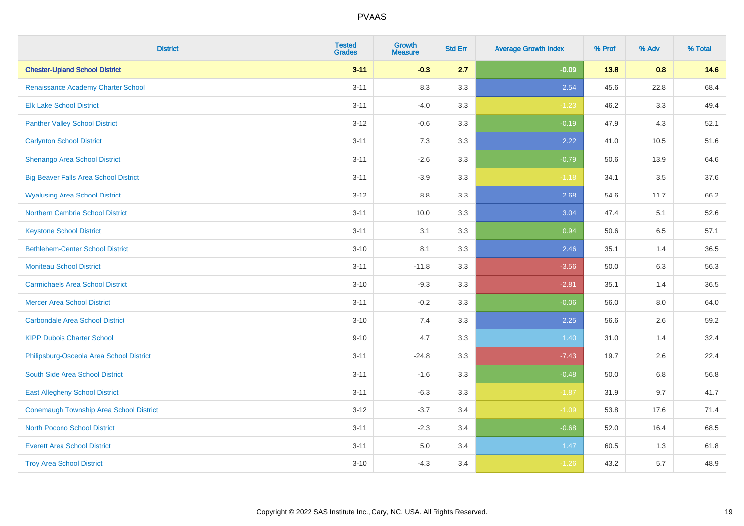| <b>District</b>                                | <b>Tested</b><br><b>Grades</b> | <b>Growth</b><br><b>Measure</b> | <b>Std Err</b> | <b>Average Growth Index</b> | % Prof | % Adv | % Total |
|------------------------------------------------|--------------------------------|---------------------------------|----------------|-----------------------------|--------|-------|---------|
| <b>Chester-Upland School District</b>          | $3 - 11$                       | $-0.3$                          | 2.7            | $-0.09$                     | 13.8   | 0.8   | 14.6    |
| Renaissance Academy Charter School             | $3 - 11$                       | 8.3                             | 3.3            | 2.54                        | 45.6   | 22.8  | 68.4    |
| <b>Elk Lake School District</b>                | $3 - 11$                       | $-4.0$                          | 3.3            | $-1.23$                     | 46.2   | 3.3   | 49.4    |
| <b>Panther Valley School District</b>          | $3 - 12$                       | $-0.6$                          | 3.3            | $-0.19$                     | 47.9   | 4.3   | 52.1    |
| <b>Carlynton School District</b>               | $3 - 11$                       | 7.3                             | 3.3            | 2.22                        | 41.0   | 10.5  | 51.6    |
| Shenango Area School District                  | $3 - 11$                       | $-2.6$                          | 3.3            | $-0.79$                     | 50.6   | 13.9  | 64.6    |
| <b>Big Beaver Falls Area School District</b>   | $3 - 11$                       | $-3.9$                          | 3.3            | $-1.18$                     | 34.1   | 3.5   | 37.6    |
| <b>Wyalusing Area School District</b>          | $3 - 12$                       | $8.8\,$                         | 3.3            | 2.68                        | 54.6   | 11.7  | 66.2    |
| <b>Northern Cambria School District</b>        | $3 - 11$                       | 10.0                            | 3.3            | 3.04                        | 47.4   | 5.1   | 52.6    |
| <b>Keystone School District</b>                | $3 - 11$                       | 3.1                             | 3.3            | 0.94                        | 50.6   | 6.5   | 57.1    |
| <b>Bethlehem-Center School District</b>        | $3 - 10$                       | 8.1                             | 3.3            | 2.46                        | 35.1   | 1.4   | 36.5    |
| <b>Moniteau School District</b>                | $3 - 11$                       | $-11.8$                         | 3.3            | $-3.56$                     | 50.0   | 6.3   | 56.3    |
| <b>Carmichaels Area School District</b>        | $3 - 10$                       | $-9.3$                          | 3.3            | $-2.81$                     | 35.1   | 1.4   | 36.5    |
| <b>Mercer Area School District</b>             | $3 - 11$                       | $-0.2$                          | 3.3            | $-0.06$                     | 56.0   | 8.0   | 64.0    |
| <b>Carbondale Area School District</b>         | $3 - 10$                       | 7.4                             | 3.3            | 2.25                        | 56.6   | 2.6   | 59.2    |
| <b>KIPP Dubois Charter School</b>              | $9 - 10$                       | 4.7                             | 3.3            | 1.40                        | 31.0   | 1.4   | 32.4    |
| Philipsburg-Osceola Area School District       | $3 - 11$                       | $-24.8$                         | 3.3            | $-7.43$                     | 19.7   | 2.6   | 22.4    |
| South Side Area School District                | $3 - 11$                       | $-1.6$                          | 3.3            | $-0.48$                     | 50.0   | 6.8   | 56.8    |
| <b>East Allegheny School District</b>          | $3 - 11$                       | $-6.3$                          | 3.3            | $-1.87$                     | 31.9   | 9.7   | 41.7    |
| <b>Conemaugh Township Area School District</b> | $3 - 12$                       | $-3.7$                          | 3.4            | $-1.09$                     | 53.8   | 17.6  | 71.4    |
| <b>North Pocono School District</b>            | $3 - 11$                       | $-2.3$                          | 3.4            | $-0.68$                     | 52.0   | 16.4  | 68.5    |
| <b>Everett Area School District</b>            | $3 - 11$                       | $5.0\,$                         | 3.4            | 1.47                        | 60.5   | 1.3   | 61.8    |
| <b>Troy Area School District</b>               | $3 - 10$                       | $-4.3$                          | 3.4            | $-1.26$                     | 43.2   | 5.7   | 48.9    |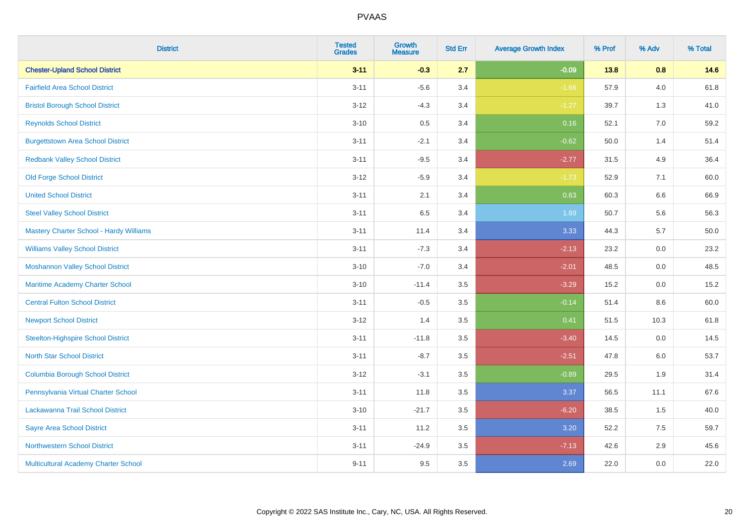| <b>District</b>                                | <b>Tested</b><br><b>Grades</b> | <b>Growth</b><br><b>Measure</b> | <b>Std Err</b> | <b>Average Growth Index</b> | % Prof | % Adv   | % Total |
|------------------------------------------------|--------------------------------|---------------------------------|----------------|-----------------------------|--------|---------|---------|
| <b>Chester-Upland School District</b>          | $3 - 11$                       | $-0.3$                          | 2.7            | $-0.09$                     | 13.8   | 0.8     | 14.6    |
| <b>Fairfield Area School District</b>          | $3 - 11$                       | $-5.6$                          | 3.4            | $-1.66$                     | 57.9   | $4.0\,$ | 61.8    |
| <b>Bristol Borough School District</b>         | $3-12$                         | $-4.3$                          | 3.4            | $-1.27$                     | 39.7   | 1.3     | 41.0    |
| <b>Reynolds School District</b>                | $3 - 10$                       | 0.5                             | 3.4            | 0.16                        | 52.1   | 7.0     | 59.2    |
| <b>Burgettstown Area School District</b>       | $3 - 11$                       | $-2.1$                          | 3.4            | $-0.62$                     | 50.0   | 1.4     | 51.4    |
| <b>Redbank Valley School District</b>          | $3 - 11$                       | $-9.5$                          | 3.4            | $-2.77$                     | 31.5   | 4.9     | 36.4    |
| <b>Old Forge School District</b>               | $3 - 12$                       | $-5.9$                          | 3.4            | $-1.73$                     | 52.9   | 7.1     | 60.0    |
| <b>United School District</b>                  | $3 - 11$                       | 2.1                             | 3.4            | 0.63                        | 60.3   | 6.6     | 66.9    |
| <b>Steel Valley School District</b>            | $3 - 11$                       | 6.5                             | 3.4            | 1.89                        | 50.7   | 5.6     | 56.3    |
| <b>Mastery Charter School - Hardy Williams</b> | $3 - 11$                       | 11.4                            | 3.4            | 3.33                        | 44.3   | 5.7     | 50.0    |
| <b>Williams Valley School District</b>         | $3 - 11$                       | $-7.3$                          | 3.4            | $-2.13$                     | 23.2   | 0.0     | 23.2    |
| <b>Moshannon Valley School District</b>        | $3 - 10$                       | $-7.0$                          | 3.4            | $-2.01$                     | 48.5   | 0.0     | 48.5    |
| Maritime Academy Charter School                | $3 - 10$                       | $-11.4$                         | 3.5            | $-3.29$                     | 15.2   | $0.0\,$ | 15.2    |
| <b>Central Fulton School District</b>          | $3 - 11$                       | $-0.5$                          | 3.5            | $-0.14$                     | 51.4   | 8.6     | 60.0    |
| <b>Newport School District</b>                 | $3 - 12$                       | 1.4                             | 3.5            | 0.41                        | 51.5   | 10.3    | 61.8    |
| <b>Steelton-Highspire School District</b>      | $3 - 11$                       | $-11.8$                         | 3.5            | $-3.40$                     | 14.5   | $0.0\,$ | 14.5    |
| <b>North Star School District</b>              | $3 - 11$                       | $-8.7$                          | 3.5            | $-2.51$                     | 47.8   | 6.0     | 53.7    |
| <b>Columbia Borough School District</b>        | $3 - 12$                       | $-3.1$                          | 3.5            | $-0.89$                     | 29.5   | 1.9     | 31.4    |
| Pennsylvania Virtual Charter School            | $3 - 11$                       | 11.8                            | 3.5            | 3.37                        | 56.5   | 11.1    | 67.6    |
| Lackawanna Trail School District               | $3 - 10$                       | $-21.7$                         | 3.5            | $-6.20$                     | 38.5   | 1.5     | 40.0    |
| <b>Sayre Area School District</b>              | $3 - 11$                       | 11.2                            | 3.5            | 3.20                        | 52.2   | 7.5     | 59.7    |
| <b>Northwestern School District</b>            | $3 - 11$                       | $-24.9$                         | 3.5            | $-7.13$                     | 42.6   | 2.9     | 45.6    |
| Multicultural Academy Charter School           | $9 - 11$                       | 9.5                             | 3.5            | 2.69                        | 22.0   | 0.0     | 22.0    |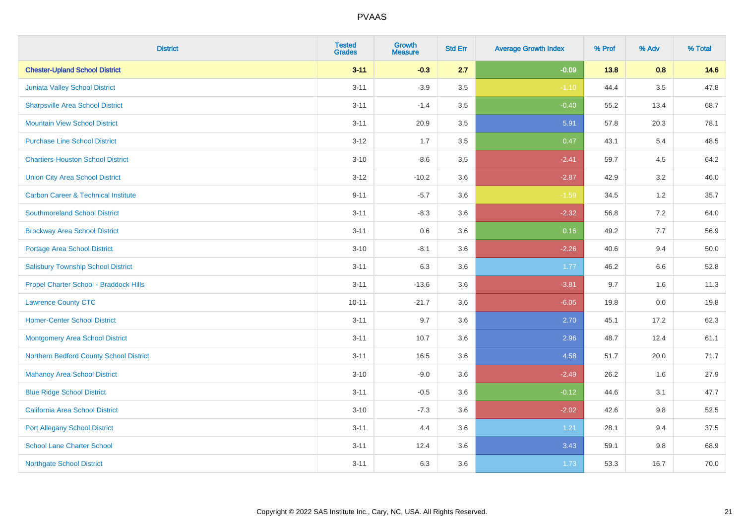| <b>District</b>                                | <b>Tested</b><br><b>Grades</b> | <b>Growth</b><br><b>Measure</b> | <b>Std Err</b> | <b>Average Growth Index</b> | % Prof | % Adv   | % Total |
|------------------------------------------------|--------------------------------|---------------------------------|----------------|-----------------------------|--------|---------|---------|
| <b>Chester-Upland School District</b>          | $3 - 11$                       | $-0.3$                          | 2.7            | $-0.09$                     | $13.8$ | 0.8     | 14.6    |
| Juniata Valley School District                 | $3 - 11$                       | $-3.9$                          | $3.5\,$        | $-1.10$                     | 44.4   | $3.5\,$ | 47.8    |
| <b>Sharpsville Area School District</b>        | $3 - 11$                       | $-1.4$                          | 3.5            | $-0.40$                     | 55.2   | 13.4    | 68.7    |
| <b>Mountain View School District</b>           | $3 - 11$                       | 20.9                            | 3.5            | 5.91                        | 57.8   | 20.3    | 78.1    |
| <b>Purchase Line School District</b>           | $3 - 12$                       | 1.7                             | 3.5            | 0.47                        | 43.1   | 5.4     | 48.5    |
| <b>Chartiers-Houston School District</b>       | $3 - 10$                       | $-8.6$                          | 3.5            | $-2.41$                     | 59.7   | 4.5     | 64.2    |
| <b>Union City Area School District</b>         | $3 - 12$                       | $-10.2$                         | 3.6            | $-2.87$                     | 42.9   | 3.2     | 46.0    |
| <b>Carbon Career &amp; Technical Institute</b> | $9 - 11$                       | $-5.7$                          | 3.6            | $-1.59$                     | 34.5   | $1.2$   | 35.7    |
| <b>Southmoreland School District</b>           | $3 - 11$                       | $-8.3$                          | 3.6            | $-2.32$                     | 56.8   | 7.2     | 64.0    |
| <b>Brockway Area School District</b>           | $3 - 11$                       | 0.6                             | 3.6            | 0.16                        | 49.2   | 7.7     | 56.9    |
| Portage Area School District                   | $3 - 10$                       | $-8.1$                          | 3.6            | $-2.26$                     | 40.6   | 9.4     | 50.0    |
| <b>Salisbury Township School District</b>      | $3 - 11$                       | 6.3                             | 3.6            | 1.77                        | 46.2   | 6.6     | 52.8    |
| Propel Charter School - Braddock Hills         | $3 - 11$                       | $-13.6$                         | 3.6            | $-3.81$                     | 9.7    | 1.6     | 11.3    |
| <b>Lawrence County CTC</b>                     | $10 - 11$                      | $-21.7$                         | 3.6            | $-6.05$                     | 19.8   | $0.0\,$ | 19.8    |
| <b>Homer-Center School District</b>            | $3 - 11$                       | 9.7                             | 3.6            | 2.70                        | 45.1   | 17.2    | 62.3    |
| <b>Montgomery Area School District</b>         | $3 - 11$                       | 10.7                            | 3.6            | 2.96                        | 48.7   | 12.4    | 61.1    |
| Northern Bedford County School District        | $3 - 11$                       | 16.5                            | 3.6            | 4.58                        | 51.7   | 20.0    | 71.7    |
| <b>Mahanoy Area School District</b>            | $3 - 10$                       | $-9.0$                          | 3.6            | $-2.49$                     | 26.2   | 1.6     | 27.9    |
| <b>Blue Ridge School District</b>              | $3 - 11$                       | $-0.5$                          | 3.6            | $-0.12$                     | 44.6   | 3.1     | 47.7    |
| California Area School District                | $3 - 10$                       | $-7.3$                          | 3.6            | $-2.02$                     | 42.6   | 9.8     | 52.5    |
| <b>Port Allegany School District</b>           | $3 - 11$                       | 4.4                             | 3.6            | 1.21                        | 28.1   | 9.4     | 37.5    |
| <b>School Lane Charter School</b>              | $3 - 11$                       | 12.4                            | 3.6            | 3.43                        | 59.1   | $9.8\,$ | 68.9    |
| <b>Northgate School District</b>               | $3 - 11$                       | 6.3                             | 3.6            | 1.73                        | 53.3   | 16.7    | 70.0    |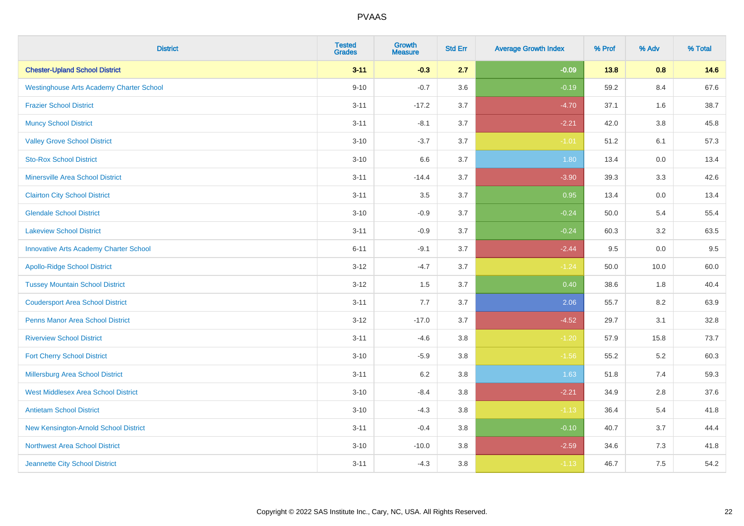| <b>District</b>                                 | <b>Tested</b><br><b>Grades</b> | <b>Growth</b><br><b>Measure</b> | <b>Std Err</b> | <b>Average Growth Index</b> | % Prof | % Adv   | % Total |
|-------------------------------------------------|--------------------------------|---------------------------------|----------------|-----------------------------|--------|---------|---------|
| <b>Chester-Upland School District</b>           | $3 - 11$                       | $-0.3$                          | 2.7            | $-0.09$                     | 13.8   | 0.8     | 14.6    |
| <b>Westinghouse Arts Academy Charter School</b> | $9 - 10$                       | $-0.7$                          | 3.6            | $-0.19$                     | 59.2   | 8.4     | 67.6    |
| <b>Frazier School District</b>                  | $3 - 11$                       | $-17.2$                         | 3.7            | $-4.70$                     | 37.1   | 1.6     | 38.7    |
| <b>Muncy School District</b>                    | $3 - 11$                       | $-8.1$                          | 3.7            | $-2.21$                     | 42.0   | $3.8\,$ | 45.8    |
| <b>Valley Grove School District</b>             | $3 - 10$                       | $-3.7$                          | 3.7            | $-1.01$                     | 51.2   | 6.1     | 57.3    |
| <b>Sto-Rox School District</b>                  | $3 - 10$                       | 6.6                             | 3.7            | 1.80                        | 13.4   | 0.0     | 13.4    |
| Minersville Area School District                | $3 - 11$                       | $-14.4$                         | 3.7            | $-3.90$                     | 39.3   | 3.3     | 42.6    |
| <b>Clairton City School District</b>            | $3 - 11$                       | 3.5                             | 3.7            | 0.95                        | 13.4   | 0.0     | 13.4    |
| <b>Glendale School District</b>                 | $3 - 10$                       | $-0.9$                          | 3.7            | $-0.24$                     | 50.0   | 5.4     | 55.4    |
| <b>Lakeview School District</b>                 | $3 - 11$                       | $-0.9$                          | 3.7            | $-0.24$                     | 60.3   | 3.2     | 63.5    |
| <b>Innovative Arts Academy Charter School</b>   | $6 - 11$                       | $-9.1$                          | 3.7            | $-2.44$                     | 9.5    | 0.0     | 9.5     |
| <b>Apollo-Ridge School District</b>             | $3 - 12$                       | $-4.7$                          | 3.7            | $-1.24$                     | 50.0   | 10.0    | 60.0    |
| <b>Tussey Mountain School District</b>          | $3 - 12$                       | 1.5                             | 3.7            | 0.40                        | 38.6   | $1.8\,$ | 40.4    |
| <b>Coudersport Area School District</b>         | $3 - 11$                       | 7.7                             | 3.7            | 2.06                        | 55.7   | 8.2     | 63.9    |
| <b>Penns Manor Area School District</b>         | $3 - 12$                       | $-17.0$                         | 3.7            | $-4.52$                     | 29.7   | 3.1     | 32.8    |
| <b>Riverview School District</b>                | $3 - 11$                       | $-4.6$                          | 3.8            | $-1.20$                     | 57.9   | 15.8    | 73.7    |
| <b>Fort Cherry School District</b>              | $3 - 10$                       | $-5.9$                          | 3.8            | $-1.56$                     | 55.2   | $5.2\,$ | 60.3    |
| <b>Millersburg Area School District</b>         | $3 - 11$                       | 6.2                             | 3.8            | 1.63                        | 51.8   | 7.4     | 59.3    |
| <b>West Middlesex Area School District</b>      | $3 - 10$                       | $-8.4$                          | 3.8            | $-2.21$                     | 34.9   | 2.8     | 37.6    |
| <b>Antietam School District</b>                 | $3 - 10$                       | $-4.3$                          | 3.8            | $-1.13$                     | 36.4   | 5.4     | 41.8    |
| New Kensington-Arnold School District           | $3 - 11$                       | $-0.4$                          | 3.8            | $-0.10$                     | 40.7   | 3.7     | 44.4    |
| <b>Northwest Area School District</b>           | $3 - 10$                       | $-10.0$                         | 3.8            | $-2.59$                     | 34.6   | 7.3     | 41.8    |
| Jeannette City School District                  | $3 - 11$                       | $-4.3$                          | 3.8            | $-1.13$                     | 46.7   | 7.5     | 54.2    |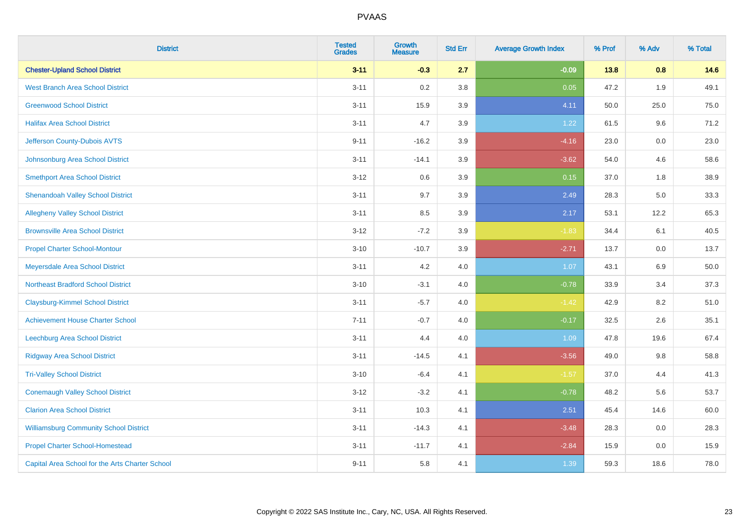| <b>District</b>                                 | <b>Tested</b><br><b>Grades</b> | <b>Growth</b><br><b>Measure</b> | <b>Std Err</b> | <b>Average Growth Index</b> | % Prof | % Adv | % Total |
|-------------------------------------------------|--------------------------------|---------------------------------|----------------|-----------------------------|--------|-------|---------|
| <b>Chester-Upland School District</b>           | $3 - 11$                       | $-0.3$                          | 2.7            | $-0.09$                     | 13.8   | 0.8   | 14.6    |
| <b>West Branch Area School District</b>         | $3 - 11$                       | 0.2                             | 3.8            | 0.05                        | 47.2   | 1.9   | 49.1    |
| <b>Greenwood School District</b>                | $3 - 11$                       | 15.9                            | 3.9            | 4.11                        | 50.0   | 25.0  | 75.0    |
| <b>Halifax Area School District</b>             | $3 - 11$                       | 4.7                             | 3.9            | 1.22                        | 61.5   | 9.6   | 71.2    |
| Jefferson County-Dubois AVTS                    | $9 - 11$                       | $-16.2$                         | 3.9            | $-4.16$                     | 23.0   | 0.0   | 23.0    |
| Johnsonburg Area School District                | $3 - 11$                       | $-14.1$                         | 3.9            | $-3.62$                     | 54.0   | 4.6   | 58.6    |
| <b>Smethport Area School District</b>           | $3 - 12$                       | 0.6                             | 3.9            | 0.15                        | 37.0   | 1.8   | 38.9    |
| <b>Shenandoah Valley School District</b>        | $3 - 11$                       | 9.7                             | 3.9            | 2.49                        | 28.3   | 5.0   | 33.3    |
| <b>Allegheny Valley School District</b>         | $3 - 11$                       | 8.5                             | 3.9            | 2.17                        | 53.1   | 12.2  | 65.3    |
| <b>Brownsville Area School District</b>         | $3 - 12$                       | $-7.2$                          | 3.9            | $-1.83$                     | 34.4   | 6.1   | 40.5    |
| <b>Propel Charter School-Montour</b>            | $3 - 10$                       | $-10.7$                         | 3.9            | $-2.71$                     | 13.7   | 0.0   | 13.7    |
| Meyersdale Area School District                 | $3 - 11$                       | 4.2                             | 4.0            | 1.07                        | 43.1   | 6.9   | 50.0    |
| <b>Northeast Bradford School District</b>       | $3 - 10$                       | $-3.1$                          | 4.0            | $-0.78$                     | 33.9   | 3.4   | 37.3    |
| <b>Claysburg-Kimmel School District</b>         | $3 - 11$                       | $-5.7$                          | 4.0            | $-1.42$                     | 42.9   | 8.2   | 51.0    |
| <b>Achievement House Charter School</b>         | $7 - 11$                       | $-0.7$                          | 4.0            | $-0.17$                     | 32.5   | 2.6   | 35.1    |
| Leechburg Area School District                  | $3 - 11$                       | 4.4                             | 4.0            | 1.09                        | 47.8   | 19.6  | 67.4    |
| <b>Ridgway Area School District</b>             | $3 - 11$                       | $-14.5$                         | 4.1            | $-3.56$                     | 49.0   | 9.8   | 58.8    |
| <b>Tri-Valley School District</b>               | $3 - 10$                       | $-6.4$                          | 4.1            | $-1.57$                     | 37.0   | 4.4   | 41.3    |
| <b>Conemaugh Valley School District</b>         | $3 - 12$                       | $-3.2$                          | 4.1            | $-0.78$                     | 48.2   | 5.6   | 53.7    |
| <b>Clarion Area School District</b>             | $3 - 11$                       | 10.3                            | 4.1            | 2.51                        | 45.4   | 14.6  | 60.0    |
| <b>Williamsburg Community School District</b>   | $3 - 11$                       | $-14.3$                         | 4.1            | $-3.48$                     | 28.3   | 0.0   | 28.3    |
| <b>Propel Charter School-Homestead</b>          | $3 - 11$                       | $-11.7$                         | 4.1            | $-2.84$                     | 15.9   | 0.0   | 15.9    |
| Capital Area School for the Arts Charter School | $9 - 11$                       | 5.8                             | 4.1            | 1.39                        | 59.3   | 18.6  | 78.0    |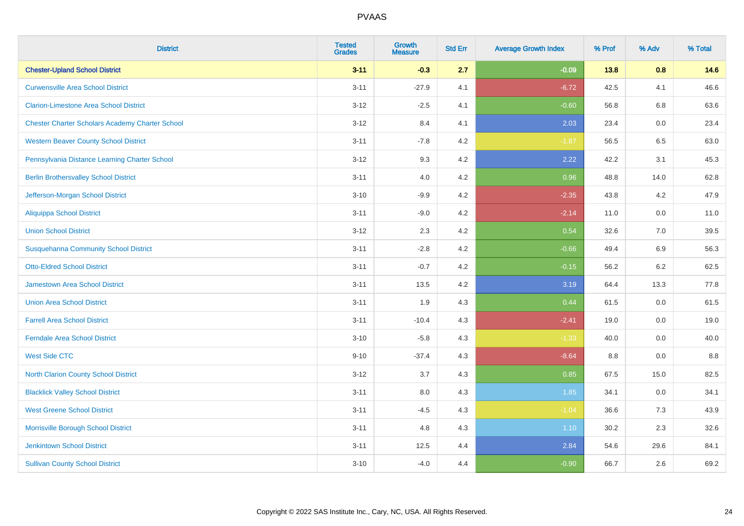| <b>District</b>                                        | <b>Tested</b><br><b>Grades</b> | <b>Growth</b><br><b>Measure</b> | <b>Std Err</b> | <b>Average Growth Index</b> | % Prof | % Adv   | % Total |
|--------------------------------------------------------|--------------------------------|---------------------------------|----------------|-----------------------------|--------|---------|---------|
| <b>Chester-Upland School District</b>                  | $3 - 11$                       | $-0.3$                          | 2.7            | $-0.09$                     | 13.8   | 0.8     | 14.6    |
| <b>Curwensville Area School District</b>               | $3 - 11$                       | $-27.9$                         | 4.1            | $-6.72$                     | 42.5   | 4.1     | 46.6    |
| <b>Clarion-Limestone Area School District</b>          | $3 - 12$                       | $-2.5$                          | 4.1            | $-0.60$                     | 56.8   | 6.8     | 63.6    |
| <b>Chester Charter Scholars Academy Charter School</b> | $3 - 12$                       | 8.4                             | 4.1            | 2.03                        | 23.4   | 0.0     | 23.4    |
| <b>Western Beaver County School District</b>           | $3 - 11$                       | $-7.8$                          | 4.2            | $-1.87$                     | 56.5   | 6.5     | 63.0    |
| Pennsylvania Distance Learning Charter School          | $3 - 12$                       | 9.3                             | 4.2            | 2.22                        | 42.2   | 3.1     | 45.3    |
| <b>Berlin Brothersvalley School District</b>           | $3 - 11$                       | 4.0                             | 4.2            | 0.96                        | 48.8   | 14.0    | 62.8    |
| Jefferson-Morgan School District                       | $3 - 10$                       | $-9.9$                          | 4.2            | $-2.35$                     | 43.8   | 4.2     | 47.9    |
| <b>Aliquippa School District</b>                       | $3 - 11$                       | $-9.0$                          | 4.2            | $-2.14$                     | 11.0   | 0.0     | 11.0    |
| <b>Union School District</b>                           | $3 - 12$                       | 2.3                             | 4.2            | 0.54                        | 32.6   | 7.0     | 39.5    |
| <b>Susquehanna Community School District</b>           | $3 - 11$                       | $-2.8$                          | 4.2            | $-0.66$                     | 49.4   | 6.9     | 56.3    |
| <b>Otto-Eldred School District</b>                     | $3 - 11$                       | $-0.7$                          | 4.2            | $-0.15$                     | 56.2   | $6.2\,$ | 62.5    |
| <b>Jamestown Area School District</b>                  | $3 - 11$                       | 13.5                            | 4.2            | 3.19                        | 64.4   | 13.3    | 77.8    |
| <b>Union Area School District</b>                      | $3 - 11$                       | 1.9                             | 4.3            | 0.44                        | 61.5   | 0.0     | 61.5    |
| <b>Farrell Area School District</b>                    | $3 - 11$                       | $-10.4$                         | 4.3            | $-2.41$                     | 19.0   | 0.0     | 19.0    |
| <b>Ferndale Area School District</b>                   | $3 - 10$                       | $-5.8$                          | 4.3            | $-1.33$                     | 40.0   | $0.0\,$ | 40.0    |
| <b>West Side CTC</b>                                   | $9 - 10$                       | $-37.4$                         | 4.3            | $-8.64$                     | 8.8    | 0.0     | $8.8\,$ |
| <b>North Clarion County School District</b>            | $3 - 12$                       | 3.7                             | 4.3            | 0.85                        | 67.5   | 15.0    | 82.5    |
| <b>Blacklick Valley School District</b>                | $3 - 11$                       | 8.0                             | 4.3            | 1.85                        | 34.1   | 0.0     | 34.1    |
| <b>West Greene School District</b>                     | $3 - 11$                       | $-4.5$                          | 4.3            | $-1.04$                     | 36.6   | 7.3     | 43.9    |
| Morrisville Borough School District                    | $3 - 11$                       | 4.8                             | 4.3            | 1.10                        | 30.2   | 2.3     | 32.6    |
| <b>Jenkintown School District</b>                      | $3 - 11$                       | 12.5                            | 4.4            | 2.84                        | 54.6   | 29.6    | 84.1    |
| <b>Sullivan County School District</b>                 | $3 - 10$                       | $-4.0$                          | 4.4            | $-0.90$                     | 66.7   | 2.6     | 69.2    |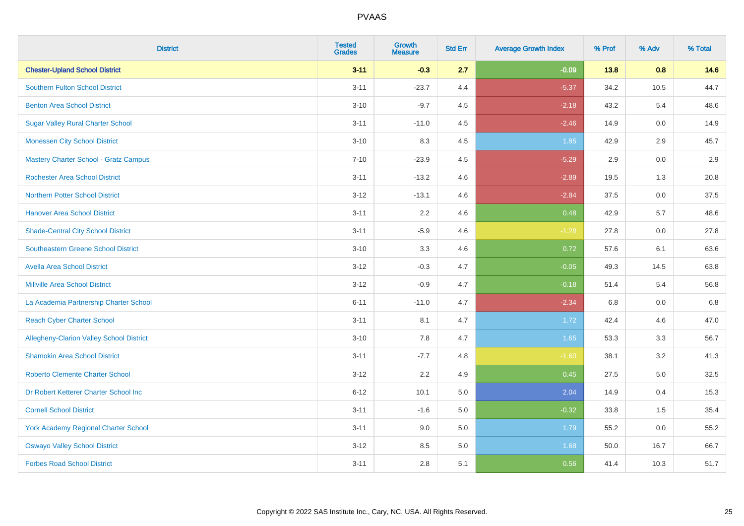| <b>District</b>                                 | <b>Tested</b><br><b>Grades</b> | <b>Growth</b><br><b>Measure</b> | <b>Std Err</b> | <b>Average Growth Index</b> | % Prof | % Adv   | % Total |
|-------------------------------------------------|--------------------------------|---------------------------------|----------------|-----------------------------|--------|---------|---------|
| <b>Chester-Upland School District</b>           | $3 - 11$                       | $-0.3$                          | 2.7            | $-0.09$                     | 13.8   | 0.8     | 14.6    |
| <b>Southern Fulton School District</b>          | $3 - 11$                       | $-23.7$                         | 4.4            | $-5.37$                     | 34.2   | 10.5    | 44.7    |
| <b>Benton Area School District</b>              | $3 - 10$                       | $-9.7$                          | 4.5            | $-2.18$                     | 43.2   | 5.4     | 48.6    |
| <b>Sugar Valley Rural Charter School</b>        | $3 - 11$                       | $-11.0$                         | 4.5            | $-2.46$                     | 14.9   | $0.0\,$ | 14.9    |
| <b>Monessen City School District</b>            | $3 - 10$                       | 8.3                             | 4.5            | 1.85                        | 42.9   | 2.9     | 45.7    |
| <b>Mastery Charter School - Gratz Campus</b>    | $7 - 10$                       | $-23.9$                         | 4.5            | $-5.29$                     | 2.9    | 0.0     | 2.9     |
| <b>Rochester Area School District</b>           | $3 - 11$                       | $-13.2$                         | 4.6            | $-2.89$                     | 19.5   | 1.3     | 20.8    |
| <b>Northern Potter School District</b>          | $3 - 12$                       | $-13.1$                         | 4.6            | $-2.84$                     | 37.5   | 0.0     | 37.5    |
| <b>Hanover Area School District</b>             | $3 - 11$                       | 2.2                             | 4.6            | 0.48                        | 42.9   | 5.7     | 48.6    |
| <b>Shade-Central City School District</b>       | $3 - 11$                       | $-5.9$                          | 4.6            | $-1.28$                     | 27.8   | 0.0     | 27.8    |
| <b>Southeastern Greene School District</b>      | $3 - 10$                       | 3.3                             | 4.6            | 0.72                        | 57.6   | 6.1     | 63.6    |
| <b>Avella Area School District</b>              | $3 - 12$                       | $-0.3$                          | 4.7            | $-0.05$                     | 49.3   | 14.5    | 63.8    |
| <b>Millville Area School District</b>           | $3 - 12$                       | $-0.9$                          | 4.7            | $-0.18$                     | 51.4   | 5.4     | 56.8    |
| La Academia Partnership Charter School          | $6 - 11$                       | $-11.0$                         | 4.7            | $-2.34$                     | 6.8    | 0.0     | 6.8     |
| <b>Reach Cyber Charter School</b>               | $3 - 11$                       | 8.1                             | 4.7            | 1.72                        | 42.4   | 4.6     | 47.0    |
| <b>Allegheny-Clarion Valley School District</b> | $3 - 10$                       | 7.8                             | 4.7            | 1.65                        | 53.3   | 3.3     | 56.7    |
| <b>Shamokin Area School District</b>            | $3 - 11$                       | $-7.7$                          | 4.8            | $-1.60$                     | 38.1   | 3.2     | 41.3    |
| <b>Roberto Clemente Charter School</b>          | $3 - 12$                       | 2.2                             | 4.9            | 0.45                        | 27.5   | 5.0     | 32.5    |
| Dr Robert Ketterer Charter School Inc           | $6 - 12$                       | 10.1                            | 5.0            | 2.04                        | 14.9   | 0.4     | 15.3    |
| <b>Cornell School District</b>                  | $3 - 11$                       | $-1.6$                          | 5.0            | $-0.32$                     | 33.8   | 1.5     | 35.4    |
| York Academy Regional Charter School            | $3 - 11$                       | 9.0                             | 5.0            | 1.79                        | 55.2   | 0.0     | 55.2    |
| <b>Oswayo Valley School District</b>            | $3 - 12$                       | 8.5                             | 5.0            | 1.68                        | 50.0   | 16.7    | 66.7    |
| <b>Forbes Road School District</b>              | $3 - 11$                       | 2.8                             | 5.1            | 0.56                        | 41.4   | 10.3    | 51.7    |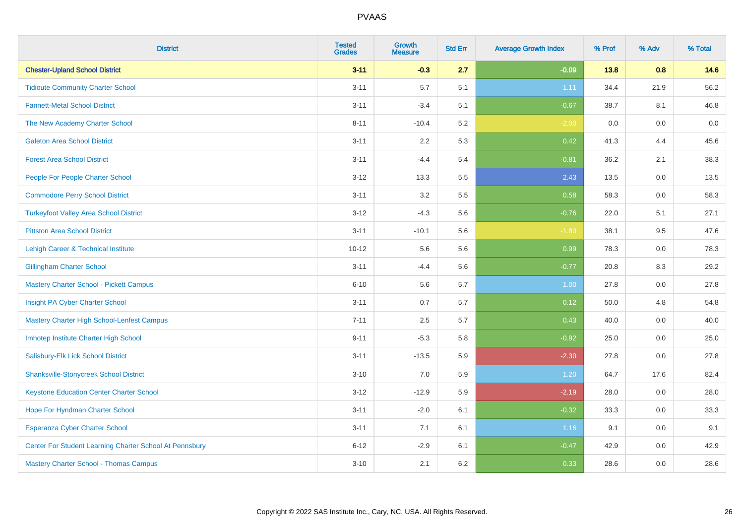| <b>District</b>                                         | <b>Tested</b><br><b>Grades</b> | <b>Growth</b><br><b>Measure</b> | <b>Std Err</b> | <b>Average Growth Index</b> | % Prof | % Adv   | % Total |
|---------------------------------------------------------|--------------------------------|---------------------------------|----------------|-----------------------------|--------|---------|---------|
| <b>Chester-Upland School District</b>                   | $3 - 11$                       | $-0.3$                          | 2.7            | $-0.09$                     | 13.8   | 0.8     | 14.6    |
| <b>Tidioute Community Charter School</b>                | $3 - 11$                       | 5.7                             | 5.1            | 1.11                        | 34.4   | 21.9    | 56.2    |
| <b>Fannett-Metal School District</b>                    | $3 - 11$                       | $-3.4$                          | 5.1            | $-0.67$                     | 38.7   | 8.1     | 46.8    |
| The New Academy Charter School                          | $8 - 11$                       | $-10.4$                         | 5.2            | $-2.00$                     | 0.0    | $0.0\,$ | 0.0     |
| <b>Galeton Area School District</b>                     | $3 - 11$                       | 2.2                             | 5.3            | 0.42                        | 41.3   | 4.4     | 45.6    |
| <b>Forest Area School District</b>                      | $3 - 11$                       | $-4.4$                          | 5.4            | $-0.81$                     | 36.2   | 2.1     | 38.3    |
| People For People Charter School                        | $3 - 12$                       | 13.3                            | 5.5            | 2.43                        | 13.5   | 0.0     | 13.5    |
| <b>Commodore Perry School District</b>                  | $3 - 11$                       | 3.2                             | 5.5            | 0.58                        | 58.3   | 0.0     | 58.3    |
| <b>Turkeyfoot Valley Area School District</b>           | $3-12$                         | $-4.3$                          | 5.6            | $-0.76$                     | 22.0   | 5.1     | 27.1    |
| <b>Pittston Area School District</b>                    | $3 - 11$                       | $-10.1$                         | 5.6            | $-1.80$                     | 38.1   | 9.5     | 47.6    |
| Lehigh Career & Technical Institute                     | $10 - 12$                      | 5.6                             | 5.6            | 0.99                        | 78.3   | 0.0     | 78.3    |
| <b>Gillingham Charter School</b>                        | $3 - 11$                       | $-4.4$                          | 5.6            | $-0.77$                     | 20.8   | 8.3     | 29.2    |
| Mastery Charter School - Pickett Campus                 | $6 - 10$                       | 5.6                             | 5.7            | 1.00                        | 27.8   | 0.0     | 27.8    |
| Insight PA Cyber Charter School                         | $3 - 11$                       | 0.7                             | 5.7            | 0.12                        | 50.0   | 4.8     | 54.8    |
| Mastery Charter High School-Lenfest Campus              | $7 - 11$                       | 2.5                             | 5.7            | 0.43                        | 40.0   | $0.0\,$ | 40.0    |
| Imhotep Institute Charter High School                   | $9 - 11$                       | $-5.3$                          | 5.8            | $-0.92$                     | 25.0   | $0.0\,$ | 25.0    |
| Salisbury-Elk Lick School District                      | $3 - 11$                       | $-13.5$                         | 5.9            | $-2.30$                     | 27.8   | 0.0     | 27.8    |
| <b>Shanksville-Stonycreek School District</b>           | $3 - 10$                       | 7.0                             | 5.9            | 1.20                        | 64.7   | 17.6    | 82.4    |
| <b>Keystone Education Center Charter School</b>         | $3-12$                         | $-12.9$                         | 5.9            | $-2.19$                     | 28.0   | 0.0     | 28.0    |
| Hope For Hyndman Charter School                         | $3 - 11$                       | $-2.0$                          | 6.1            | $-0.32$                     | 33.3   | 0.0     | 33.3    |
| <b>Esperanza Cyber Charter School</b>                   | $3 - 11$                       | 7.1                             | 6.1            | 1.16                        | 9.1    | 0.0     | 9.1     |
| Center For Student Learning Charter School At Pennsbury | $6 - 12$                       | $-2.9$                          | 6.1            | $-0.47$                     | 42.9   | 0.0     | 42.9    |
| Mastery Charter School - Thomas Campus                  | $3 - 10$                       | 2.1                             | 6.2            | 0.33                        | 28.6   | 0.0     | 28.6    |